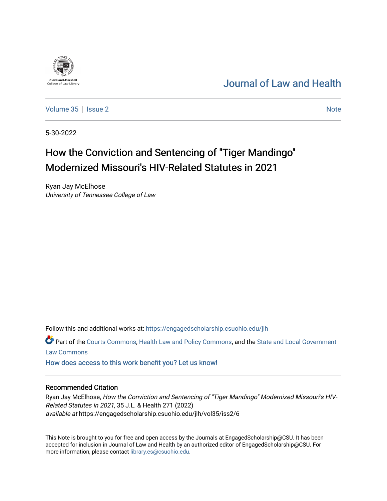## [Journal of Law and Health](https://engagedscholarship.csuohio.edu/jlh)

[Volume 35](https://engagedscholarship.csuohio.edu/jlh/vol35) | [Issue 2](https://engagedscholarship.csuohio.edu/jlh/vol35/iss2) [Note](https://engagedscholarship.csuohio.edu/jlh/vol35/iss2/6) 2 Note 2 Note 2 Note 2 Note 2 Note 2 Note 2 Note 2 Note 2 Note 2 Note 2 Note 2 Note 2 Note 2 Note 2 Note 2 Note 2 Note 2 Note 2 Note 2 Note 2 Note 2 Note 2 Note 2 Note 2 Note 2 Note 2 Note 2 Note 2

5-30-2022

<sup>1964</sup><br>**Cleveland-Marshall**<br>College of Law Libra

# How the Conviction and Sentencing of "Tiger Mandingo" Modernized Missouri's HIV-Related Statutes in 2021

Ryan Jay McElhose University of Tennessee College of Law

Follow this and additional works at: [https://engagedscholarship.csuohio.edu/jlh](https://engagedscholarship.csuohio.edu/jlh?utm_source=engagedscholarship.csuohio.edu%2Fjlh%2Fvol35%2Fiss2%2F6&utm_medium=PDF&utm_campaign=PDFCoverPages) 

Part of the [Courts Commons,](https://network.bepress.com/hgg/discipline/839?utm_source=engagedscholarship.csuohio.edu%2Fjlh%2Fvol35%2Fiss2%2F6&utm_medium=PDF&utm_campaign=PDFCoverPages) [Health Law and Policy Commons,](https://network.bepress.com/hgg/discipline/901?utm_source=engagedscholarship.csuohio.edu%2Fjlh%2Fvol35%2Fiss2%2F6&utm_medium=PDF&utm_campaign=PDFCoverPages) and the [State and Local Government](https://network.bepress.com/hgg/discipline/879?utm_source=engagedscholarship.csuohio.edu%2Fjlh%2Fvol35%2Fiss2%2F6&utm_medium=PDF&utm_campaign=PDFCoverPages)  [Law Commons](https://network.bepress.com/hgg/discipline/879?utm_source=engagedscholarship.csuohio.edu%2Fjlh%2Fvol35%2Fiss2%2F6&utm_medium=PDF&utm_campaign=PDFCoverPages) 

[How does access to this work benefit you? Let us know!](http://library.csuohio.edu/engaged/)

#### Recommended Citation

Ryan Jay McElhose, How the Conviction and Sentencing of "Tiger Mandingo" Modernized Missouri's HIV-Related Statutes in 2021, 35 J.L. & Health 271 (2022) available at https://engagedscholarship.csuohio.edu/jlh/vol35/iss2/6

This Note is brought to you for free and open access by the Journals at EngagedScholarship@CSU. It has been accepted for inclusion in Journal of Law and Health by an authorized editor of EngagedScholarship@CSU. For more information, please contact [library.es@csuohio.edu](mailto:library.es@csuohio.edu).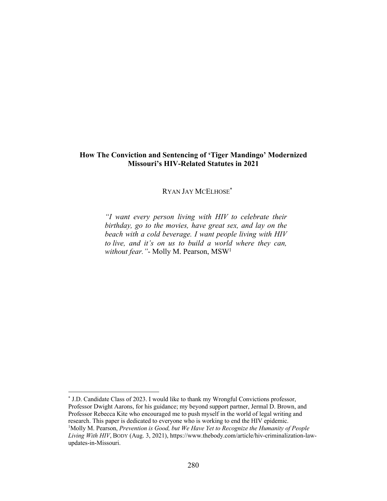## **How The Conviction and Sentencing of 'Tiger Mandingo' Modernized Missouri's HIV-Related Statutes in 2021**

RYAN JAY MCELHOSE\*

*"I want every person living with HIV to celebrate their birthday, go to the movies, have great sex, and lay on the beach with a cold beverage. I want people living with HIV to live, and it's on us to build a world where they can, without fear."*- Molly M. Pearson, MSW1

<sup>\*</sup> J.D. Candidate Class of 2023. I would like to thank my Wrongful Convictions professor, Professor Dwight Aarons, for his guidance; my beyond support partner, Jermal D. Brown, and Professor Rebecca Kite who encouraged me to push myself in the world of legal writing and research. This paper is dedicated to everyone who is working to end the HIV epidemic. <sup>1</sup>Molly M. Pearson, *Prevention is Good, but We Have Yet to Recognize the Humanity of People* 

*Living With HIV*, BODY (Aug. 3, 2021), https://www.thebody.com/article/hiv-criminalization-lawupdates-in-Missouri.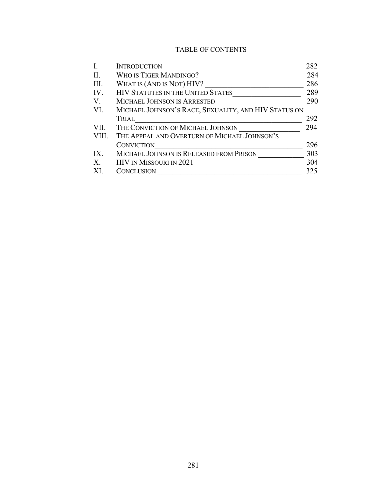## TABLE OF CONTENTS

|       | <b>INTRODUCTION</b>                                  | 282 |
|-------|------------------------------------------------------|-----|
| II.   | WHO IS TIGER MANDINGO?                               | 284 |
| III.  | WHAT IS (AND IS NOT) HIV?                            | 286 |
| IV.   | <b>HIV STATUTES IN THE UNITED STATES</b>             | 289 |
| V.    | MICHAEL JOHNSON IS ARRESTED                          | 290 |
| VI.   | MICHAEL JOHNSON'S RACE, SEXUALITY, AND HIV STATUS ON |     |
|       | TRIAL                                                | 292 |
| VII.  | THE CONVICTION OF MICHAEL JOHNSON                    | 294 |
| VIII. | THE APPEAL AND OVERTURN OF MICHAEL JOHNSON'S         |     |
|       | <b>CONVICTION</b>                                    | 296 |
| IX.   | MICHAEL JOHNSON IS RELEASED FROM PRISON              | 303 |
| X.    | HIV IN MISSOURI IN 2021                              | 304 |
|       | CONCLUSION                                           | 325 |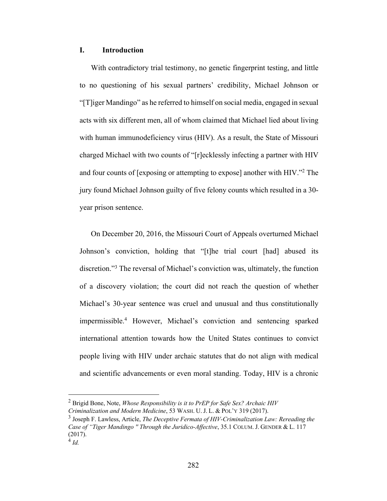#### **I. Introduction**

With contradictory trial testimony, no genetic fingerprint testing, and little to no questioning of his sexual partners' credibility, Michael Johnson or "[T]iger Mandingo" as he referred to himself on social media, engaged in sexual acts with six different men, all of whom claimed that Michael lied about living with human immunodeficiency virus (HIV). As a result, the State of Missouri charged Michael with two counts of "[r]ecklessly infecting a partner with HIV and four counts of [exposing or attempting to expose] another with HIV."2 The jury found Michael Johnson guilty of five felony counts which resulted in a 30 year prison sentence.

On December 20, 2016, the Missouri Court of Appeals overturned Michael Johnson's conviction, holding that "[t]he trial court [had] abused its discretion."3 The reversal of Michael's conviction was, ultimately, the function of a discovery violation; the court did not reach the question of whether Michael's 30-year sentence was cruel and unusual and thus constitutionally impermissible.4 However, Michael's conviction and sentencing sparked international attention towards how the United States continues to convict people living with HIV under archaic statutes that do not align with medical and scientific advancements or even moral standing. Today, HIV is a chronic

<sup>2</sup> Brigid Bone, Note, *Whose Responsibility is it to PrEP for Safe Sex? Archaic HIV Criminalization and Modern Medicine*, 53 WASH. U. J. L. & POL'Y 319 (2017).

<sup>3</sup> Joseph F. Lawless, Article, *The Deceptive Fermata of HIV-Criminalization Law: Rereading the Case of "Tiger Mandingo '' Through the Juridico-Affective*, 35.1 COLUM. J. GENDER & L. 117 (2017).

<sup>4</sup> *Id.*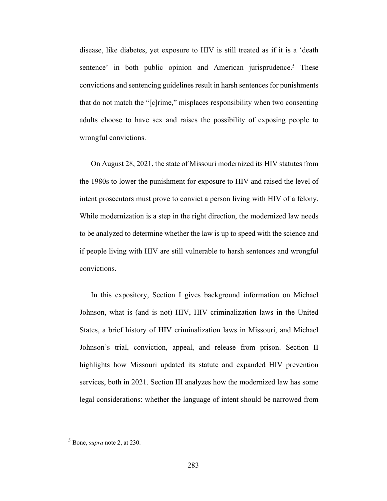disease, like diabetes, yet exposure to HIV is still treated as if it is a 'death sentence' in both public opinion and American jurisprudence.<sup>5</sup> These convictions and sentencing guidelines result in harsh sentences for punishments that do not match the "[c]rime," misplaces responsibility when two consenting adults choose to have sex and raises the possibility of exposing people to wrongful convictions.

On August 28, 2021, the state of Missouri modernized its HIV statutes from the 1980s to lower the punishment for exposure to HIV and raised the level of intent prosecutors must prove to convict a person living with HIV of a felony. While modernization is a step in the right direction, the modernized law needs to be analyzed to determine whether the law is up to speed with the science and if people living with HIV are still vulnerable to harsh sentences and wrongful convictions.

In this expository, Section I gives background information on Michael Johnson, what is (and is not) HIV, HIV criminalization laws in the United States, a brief history of HIV criminalization laws in Missouri, and Michael Johnson's trial, conviction, appeal, and release from prison. Section II highlights how Missouri updated its statute and expanded HIV prevention services, both in 2021. Section III analyzes how the modernized law has some legal considerations: whether the language of intent should be narrowed from

<sup>5</sup> Bone, *supra* note 2, at 230.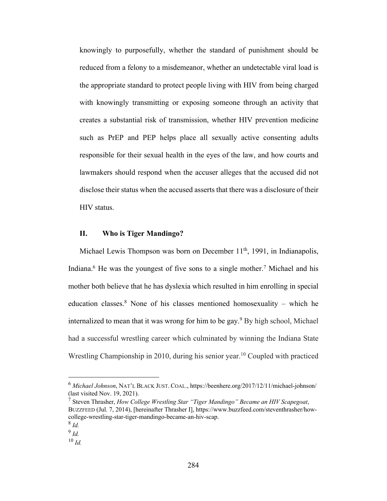knowingly to purposefully, whether the standard of punishment should be reduced from a felony to a misdemeanor, whether an undetectable viral load is the appropriate standard to protect people living with HIV from being charged with knowingly transmitting or exposing someone through an activity that creates a substantial risk of transmission, whether HIV prevention medicine such as PrEP and PEP helps place all sexually active consenting adults responsible for their sexual health in the eyes of the law, and how courts and lawmakers should respond when the accuser alleges that the accused did not disclose their status when the accused asserts that there was a disclosure of their HIV status.

#### **II. Who is Tiger Mandingo?**

Michael Lewis Thompson was born on December 11<sup>th</sup>, 1991, in Indianapolis, Indiana.<sup>6</sup> He was the youngest of five sons to a single mother.<sup>7</sup> Michael and his mother both believe that he has dyslexia which resulted in him enrolling in special education classes.<sup>8</sup> None of his classes mentioned homosexuality – which he internalized to mean that it was wrong for him to be gay.<sup>9</sup> By high school, Michael had a successful wrestling career which culminated by winning the Indiana State Wrestling Championship in 2010, during his senior year.<sup>10</sup> Coupled with practiced

<sup>6</sup> *Michael Johnson*, NAT'L BLACK JUST. COAL., https://beenhere.org/2017/12/11/michael-johnson/ (last visited Nov. 19, 2021).

<sup>7</sup> Steven Thrasher, *How College Wrestling Star "Tiger Mandingo" Became an HIV Scapegoat*, BUZZFEED (Jul. 7, 2014), [hereinafter Thrasher I], https://www.buzzfeed.com/steventhrasher/howcollege-wrestling-star-tiger-mandingo-became-an-hiv-scap.

<sup>8</sup> *Id.*

<sup>9</sup> *Id.*

<sup>10</sup> *Id.*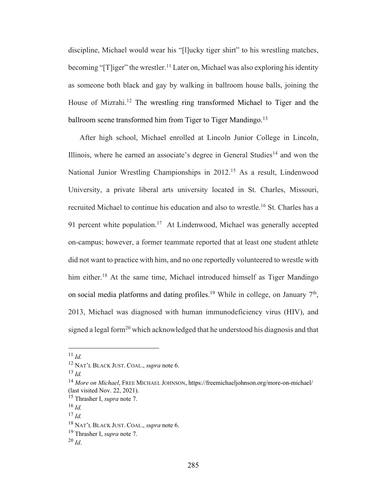discipline, Michael would wear his "[l]ucky tiger shirt" to his wrestling matches, becoming "[T]iger" the wrestler.<sup>11</sup> Later on, Michael was also exploring his identity as someone both black and gay by walking in ballroom house balls, joining the House of Mizrahi.<sup>12</sup> The wrestling ring transformed Michael to Tiger and the ballroom scene transformed him from Tiger to Tiger Mandingo.<sup>13</sup>

After high school, Michael enrolled at Lincoln Junior College in Lincoln, Illinois, where he earned an associate's degree in General Studies<sup>14</sup> and won the National Junior Wrestling Championships in 2012.<sup>15</sup> As a result, Lindenwood University, a private liberal arts university located in St. Charles, Missouri, recruited Michael to continue his education and also to wrestle.<sup>16</sup> St. Charles has a 91 percent white population.<sup>17</sup> At Lindenwood, Michael was generally accepted on-campus; however, a former teammate reported that at least one student athlete did not want to practice with him, and no one reportedly volunteered to wrestle with him either.<sup>18</sup> At the same time, Michael introduced himself as Tiger Mandingo on social media platforms and dating profiles.<sup>19</sup> While in college, on January  $7<sup>th</sup>$ , 2013, Michael was diagnosed with human immunodeficiency virus (HIV), and signed a legal form<sup>20</sup> which acknowledged that he understood his diagnosis and that

<sup>11</sup> *Id.*

<sup>12</sup> NAT'L BLACK JUST. COAL., *supra* note 6.

<sup>13</sup> *Id.*

<sup>14</sup> *More on Michael*, FREE MICHAEL JOHNSON, https://freemichaeljohnson.org/more-on-michael/ (last visited Nov. 22, 2021).

<sup>15</sup> Thrasher I, *supra* note 7.

<sup>16</sup> *Id.*

<sup>17</sup> *Id.*

<sup>18</sup> NAT'L BLACK JUST. COAL., *supra* note 6.

<sup>19</sup> Thrasher I, *supra* note 7.

 $^{20}$  *Id.*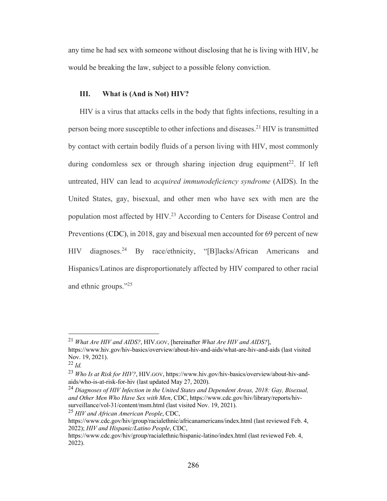any time he had sex with someone without disclosing that he is living with HIV, he would be breaking the law, subject to a possible felony conviction.

#### **III. What is (And is Not) HIV?**

HIV is a virus that attacks cells in the body that fights infections, resulting in a person being more susceptible to other infections and diseases.<sup>21</sup> HIV is transmitted by contact with certain bodily fluids of a person living with HIV, most commonly during condomless sex or through sharing injection drug equipment<sup>22</sup>. If left untreated, HIV can lead to *acquired immunodeficiency syndrome* (AIDS). In the United States, gay, bisexual, and other men who have sex with men are the population most affected by HIV.<sup>23</sup> According to Centers for Disease Control and Preventions (CDC), in 2018, gay and bisexual men accounted for 69 percent of new HIV diagnoses.<sup>24</sup> By race/ethnicity, "[B]lacks/African Americans and Hispanics/Latinos are disproportionately affected by HIV compared to other racial and ethnic groups."<sup>25</sup>

<sup>25</sup> *HIV and African American People*, CDC,

<sup>21</sup> *What Are HIV and AIDS?*, HIV.GOV, [hereinafter *What Are HIV and AIDS?*], https://www.hiv.gov/hiv-basics/overview/about-hiv-and-aids/what-are-hiv-and-aids (last visited Nov. 19, 2021).

<sup>22</sup> *Id.*

<sup>23</sup> *Who Is at Risk for HIV?*, HIV.GOV, https://www.hiv.gov/hiv-basics/overview/about-hiv-andaids/who-is-at-risk-for-hiv (last updated May 27, 2020).

<sup>24</sup> *Diagnoses of HIV Infection in the United States and Dependent Areas, 2018: Gay, Bisexual, and Other Men Who Have Sex with Men*, CDC, https://www.cdc.gov/hiv/library/reports/hivsurveillance/vol-31/content/msm.html (last visited Nov. 19, 2021).

https://www.cdc.gov/hiv/group/racialethnic/africanamericans/index.html (last reviewed Feb. 4, 2022); *HIV and Hispanic/Latino People*, CDC,

https://www.cdc.gov/hiv/group/racialethnic/hispanic-latino/index.html (last reviewed Feb. 4, 2022).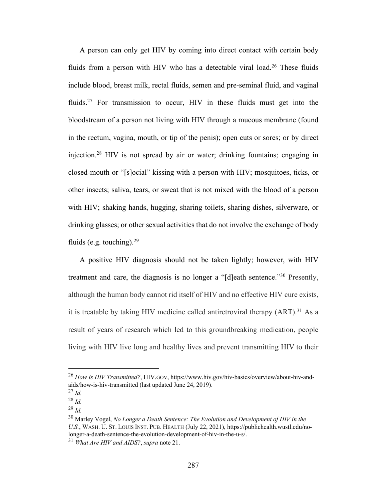A person can only get HIV by coming into direct contact with certain body fluids from a person with HIV who has a detectable viral load.<sup>26</sup> These fluids include blood, breast milk, rectal fluids, semen and pre-seminal fluid, and vaginal fluids.<sup>27</sup> For transmission to occur, HIV in these fluids must get into the bloodstream of a person not living with HIV through a mucous membrane (found in the rectum, vagina, mouth, or tip of the penis); open cuts or sores; or by direct injection.28 HIV is not spread by air or water; drinking fountains; engaging in closed-mouth or "[s]ocial" kissing with a person with HIV; mosquitoes, ticks, or other insects; saliva, tears, or sweat that is not mixed with the blood of a person with HIV; shaking hands, hugging, sharing toilets, sharing dishes, silverware, or drinking glasses; or other sexual activities that do not involve the exchange of body fluids (e.g. touching). $29$ 

A positive HIV diagnosis should not be taken lightly; however, with HIV treatment and care, the diagnosis is no longer a "[d]eath sentence."30 Presently, although the human body cannot rid itself of HIV and no effective HIV cure exists, it is treatable by taking HIV medicine called antiretroviral therapy  $(ART)$ <sup>31</sup> As a result of years of research which led to this groundbreaking medication, people living with HIV live long and healthy lives and prevent transmitting HIV to their

<sup>26</sup> *How Is HIV Transmitted?*, HIV.GOV, https://www.hiv.gov/hiv-basics/overview/about-hiv-andaids/how-is-hiv-transmitted (last updated June 24, 2019).

<sup>27</sup> *Id.*

<sup>28</sup> *Id.*

<sup>29</sup> *Id.*

<sup>30</sup> Marley Vogel, *No Longer a Death Sentence: The Evolution and Development of HIV in the U.S.*, WASH. U. ST. LOUIS INST. PUB. HEALTH (July 22, 2021), https://publichealth.wustl.edu/nolonger-a-death-sentence-the-evolution-development-of-hiv-in-the-u-s/.

<sup>31</sup> *What Are HIV and AIDS?*, *supra* note 21.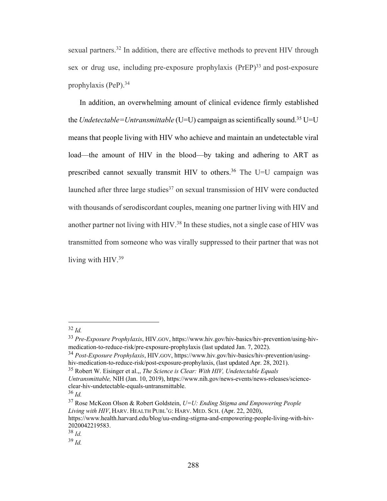sexual partners.<sup>32</sup> In addition, there are effective methods to prevent HIV through sex or drug use, including pre-exposure prophylaxis  $(PreP)<sup>33</sup>$  and post-exposure prophylaxis (PeP).<sup>34</sup>

In addition, an overwhelming amount of clinical evidence firmly established the *Undetectable=Untransmittable* (U=U) campaign as scientifically sound.<sup>35</sup> U=U means that people living with HIV who achieve and maintain an undetectable viral load—the amount of HIV in the blood—by taking and adhering to ART as prescribed cannot sexually transmit HIV to others.<sup>36</sup> The U=U campaign was launched after three large studies $37$  on sexual transmission of HIV were conducted with thousands of serodiscordant couples, meaning one partner living with HIV and another partner not living with HIV.38 In these studies, not a single case of HIV was transmitted from someone who was virally suppressed to their partner that was not living with HIV.<sup>39</sup>

<sup>32</sup> *Id.*

<sup>33</sup> *Pre-Exposure Prophylaxis*, HIV.GOV, https://www.hiv.gov/hiv-basics/hiv-prevention/using-hivmedication-to-reduce-risk/pre-exposure-prophylaxis (last updated Jan. 7, 2022).

<sup>34</sup> *Post-Exposure Prophylaxis*, HIV.GOV, https://www.hiv.gov/hiv-basics/hiv-prevention/usinghiv-medication-to-reduce-risk/post-exposure-prophylaxis, (last updated Apr. 28, 2021).

<sup>35</sup> Robert W. Eisinger et al.,, *The Science is Clear: With HIV, Undetectable Equals Untransmittable,* NIH (Jan. 10, 2019), https://www.nih.gov/news-events/news-releases/science-

clear-hiv-undetectable-equals-untransmittable.

<sup>36</sup> *Id.* 

<sup>37</sup> Rose McKeon Olson & Robert Goldstein, *U=U: Ending Stigma and Empowering People Living with HIV*, HARV. HEALTH PUBL'G: HARV. MED. SCH. (Apr. 22, 2020),

https://www.health.harvard.edu/blog/uu-ending-stigma-and-empowering-people-living-with-hiv-2020042219583.

<sup>38</sup> *Id.*

<sup>39</sup> *Id.*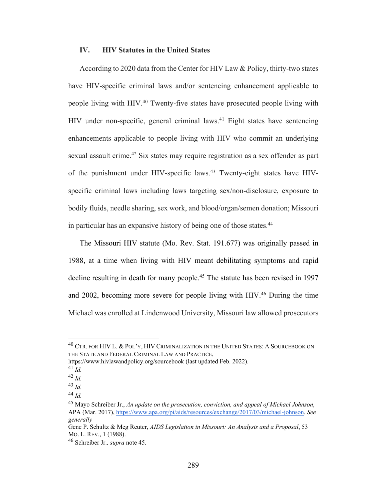#### **IV. HIV Statutes in the United States**

According to 2020 data from the Center for HIV Law & Policy, thirty-two states have HIV-specific criminal laws and/or sentencing enhancement applicable to people living with HIV.40 Twenty-five states have prosecuted people living with HIV under non-specific, general criminal laws.<sup>41</sup> Eight states have sentencing enhancements applicable to people living with HIV who commit an underlying sexual assault crime.<sup>42</sup> Six states may require registration as a sex offender as part of the punishment under HIV-specific laws.<sup>43</sup> Twenty-eight states have HIVspecific criminal laws including laws targeting sex/non-disclosure, exposure to bodily fluids, needle sharing, sex work, and blood/organ/semen donation; Missouri in particular has an expansive history of being one of those states.44

The Missouri HIV statute (Mo. Rev. Stat. 191.677) was originally passed in 1988, at a time when living with HIV meant debilitating symptoms and rapid decline resulting in death for many people.<sup>45</sup> The statute has been revised in 1997 and 2002, becoming more severe for people living with HIV.<sup>46</sup> During the time Michael was enrolled at Lindenwood University, Missouri law allowed prosecutors

<sup>&</sup>lt;sup>40</sup> CTR. FOR HIV L. & POL'Y, HIV CRIMINALIZATION IN THE UNITED STATES: A SOURCEBOOK ON THE STATE AND FEDERAL CRIMINAL LAW AND PRACTICE,

https://www.hivlawandpolicy.org/sourcebook (last updated Feb. 2022).

<sup>41</sup> *Id.*

<sup>42</sup> *Id.* 

<sup>43</sup> *Id.*

<sup>44</sup> *Id.*

<sup>45</sup> Mayo Schreiber Jr., *An update on the prosecution, conviction, and appeal of Michael Johnson*, APA (Mar. 2017), https://www.apa.org/pi/aids/resources/exchange/2017/03/michael-johnson. *See generally*

Gene P. Schultz & Meg Reuter, *AIDS Legislation in Missouri: An Analysis and a Proposal*, 53 MO. L. REV., 1 (1988).

<sup>46</sup> Schreiber Jr.*, supra* note 45.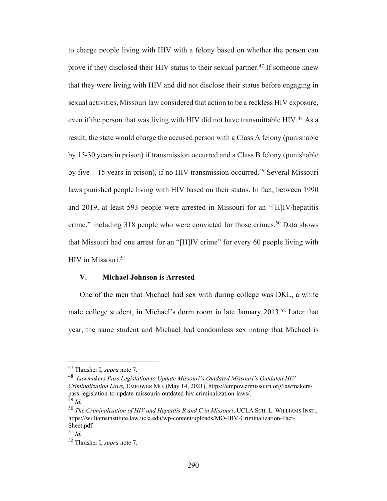to charge people living with HIV with a felony based on whether the person can prove if they disclosed their HIV status to their sexual partner.<sup>47</sup> If someone knew that they were living with HIV and did not disclose their status before engaging in sexual activities, Missouri law considered that action to be a reckless HIV exposure, even if the person that was living with HIV did not have transmittable HIV.<sup>48</sup> As a result, the state would charge the accused person with a Class A felony (punishable by 15-30 years in prison) if transmission occurred and a Class B felony (punishable by five  $-15$  years in prison), if no HIV transmission occurred.<sup>49</sup> Several Missouri laws punished people living with HIV based on their status. In fact, between 1990 and 2019, at least 593 people were arrested in Missouri for an "[H]IV/hepatitis crime," including 318 people who were convicted for those crimes.<sup>50</sup> Data shows that Missouri had one arrest for an "[H]IV crime" for every 60 people living with HIV in Missouri.<sup>51</sup>

#### **V. Michael Johnson is Arrested**

One of the men that Michael had sex with during college was DKL, a white male college student, in Michael's dorm room in late January 2013.<sup>52</sup> Later that year, the same student and Michael had condomless sex noting that Michael is

<sup>47</sup> Thrasher I, *supra* note 7.

<sup>48</sup> *Lawmakers Pass Legislation to Update Missouri's Outdated Missouri's Outdated HIV Criminalization Laws,* EMPOWER MO. (May 14, 2021), https://empowermissouri.org/lawmakerspass-legislation-to-update-missouris-outdated-hiv-criminalization-laws/.

<sup>49</sup> *Id.*

<sup>50</sup> *The Criminalization of HIV and Hepatitis B and C in Missouri*, UCLA SCH. L. WILLIAMS INST., https://williamsinstitute.law.ucla.edu/wp-content/uploads/MO-HIV-Criminalization-Fact-Sheet.pdf.

<sup>51</sup> *Id.*

<sup>52</sup> Thrasher I, *supra* note 7.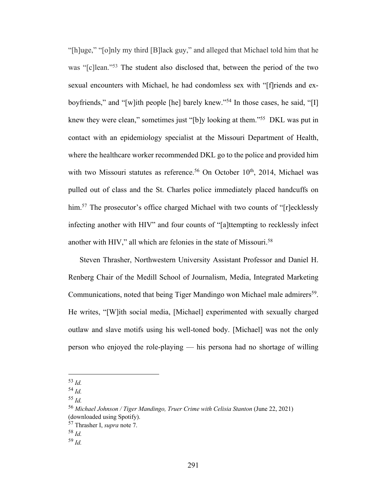"[h]uge," "[o]nly my third [B]lack guy," and alleged that Michael told him that he was "[c]lean."<sup>53</sup> The student also disclosed that, between the period of the two sexual encounters with Michael, he had condomless sex with "[f]riends and exboyfriends," and "[w]ith people [he] barely knew."54 In those cases, he said, "[I] knew they were clean," sometimes just "[b]y looking at them."55 DKL was put in contact with an epidemiology specialist at the Missouri Department of Health, where the healthcare worker recommended DKL go to the police and provided him with two Missouri statutes as reference.<sup>56</sup> On October  $10<sup>th</sup>$ , 2014, Michael was pulled out of class and the St. Charles police immediately placed handcuffs on him.<sup>57</sup> The prosecutor's office charged Michael with two counts of "[r]ecklessly infecting another with HIV" and four counts of "[a]ttempting to recklessly infect another with HIV," all which are felonies in the state of Missouri.<sup>58</sup>

Steven Thrasher, Northwestern University Assistant Professor and Daniel H. Renberg Chair of the Medill School of Journalism, Media, Integrated Marketing Communications, noted that being Tiger Mandingo won Michael male admirers<sup>59</sup>. He writes, "[W]ith social media, [Michael] experimented with sexually charged outlaw and slave motifs using his well-toned body. [Michael] was not the only person who enjoyed the role-playing — his persona had no shortage of willing

<sup>53</sup> *Id.*

<sup>54</sup> *Id.*

<sup>55</sup> *Id.*

<sup>56</sup> *Michael Johnson / Tiger Mandingo, Truer Crime with Celisia Stanton* (June 22, 2021) (downloaded using Spotify).

<sup>57</sup> Thrasher I, *supra* note 7.

<sup>58</sup> *Id.*

<sup>59</sup> *Id.*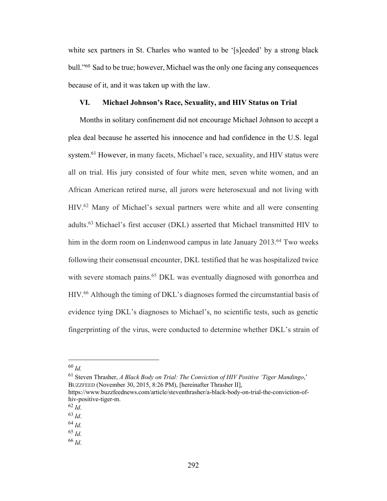white sex partners in St. Charles who wanted to be '[s]eeded' by a strong black bull."60 Sad to be true; however, Michael was the only one facing any consequences because of it, and it was taken up with the law.

#### **VI. Michael Johnson's Race, Sexuality, and HIV Status on Trial**

Months in solitary confinement did not encourage Michael Johnson to accept a plea deal because he asserted his innocence and had confidence in the U.S. legal system.<sup>61</sup> However, in many facets, Michael's race, sexuality, and HIV status were all on trial. His jury consisted of four white men, seven white women, and an African American retired nurse, all jurors were heterosexual and not living with HIV.62 Many of Michael's sexual partners were white and all were consenting adults.63 Michael's first accuser (DKL) asserted that Michael transmitted HIV to him in the dorm room on Lindenwood campus in late January 2013.<sup>64</sup> Two weeks following their consensual encounter, DKL testified that he was hospitalized twice with severe stomach pains.<sup>65</sup> DKL was eventually diagnosed with gonorrhea and HIV.66 Although the timing of DKL's diagnoses formed the circumstantial basis of evidence tying DKL's diagnoses to Michael's, no scientific tests, such as genetic fingerprinting of the virus, were conducted to determine whether DKL's strain of

<sup>60</sup> *Id.*

<sup>61</sup> Steven Thrasher, *A Black Body on Trial: The Conviction of HIV Positive 'Tiger Mandingo*,' BUZZFEED (November 30, 2015, 8:26 PM), [hereinafter Thrasher II],

https://www.buzzfeednews.com/article/steventhrasher/a-black-body-on-trial-the-conviction-ofhiv-positive-tiger-m.

 $\frac{62}{63}$  *Id*.

<sup>64</sup> *Id*.

<sup>65</sup> *Id*.

<sup>66</sup> *Id*.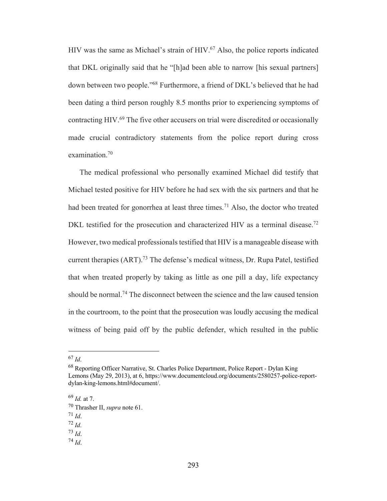HIV was the same as Michael's strain of HIV.<sup>67</sup> Also, the police reports indicated that DKL originally said that he "[h]ad been able to narrow [his sexual partners] down between two people."68 Furthermore, a friend of DKL's believed that he had been dating a third person roughly 8.5 months prior to experiencing symptoms of contracting HIV.69 The five other accusers on trial were discredited or occasionally made crucial contradictory statements from the police report during cross examination.70

The medical professional who personally examined Michael did testify that Michael tested positive for HIV before he had sex with the six partners and that he had been treated for gonorrhea at least three times.<sup>71</sup> Also, the doctor who treated DKL testified for the prosecution and characterized HIV as a terminal disease.<sup>72</sup> However, two medical professionals testified that HIV is a manageable disease with current therapies (ART).<sup>73</sup> The defense's medical witness, Dr. Rupa Patel, testified that when treated properly by taking as little as one pill a day, life expectancy should be normal.74 The disconnect between the science and the law caused tension in the courtroom, to the point that the prosecution was loudly accusing the medical witness of being paid off by the public defender, which resulted in the public

<sup>74</sup> *Id*.

<sup>67</sup> *Id*.

<sup>68</sup> Reporting Officer Narrative, St. Charles Police Department, Police Report - Dylan King Lemons (May 29, 2013), at 6, https://www.documentcloud.org/documents/2580257-police-reportdylan-king-lemons.html#document/.

<sup>69</sup> *Id.* at 7.

<sup>70</sup> Thrasher II, *supra* note 61.

 $71$  *Id.* 

<sup>72</sup> *Id*.

<sup>73</sup> *Id*.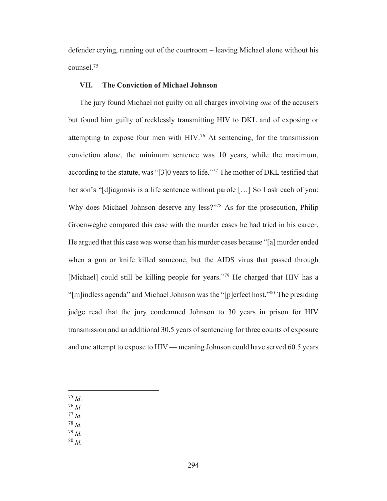defender crying, running out of the courtroom – leaving Michael alone without his counsel.75

#### **VII. The Conviction of Michael Johnson**

The jury found Michael not guilty on all charges involving *one* of the accusers but found him guilty of recklessly transmitting HIV to DKL and of exposing or attempting to expose four men with HIV.76 At sentencing, for the transmission conviction alone, the minimum sentence was 10 years, while the maximum, according to the statute, was "[3]0 years to life."<sup>77</sup> The mother of DKL testified that her son's "[d]iagnosis is a life sentence without parole […] So I ask each of you: Why does Michael Johnson deserve any less?"<sup>78</sup> As for the prosecution, Philip Groenweghe compared this case with the murder cases he had tried in his career. He argued that this case was worse than his murder cases because "[a] murder ended when a gun or knife killed someone, but the AIDS virus that passed through [Michael] could still be killing people for years."<sup>79</sup> He charged that HIV has a "[m]indless agenda" and Michael Johnson was the "[p]erfect host."80 The presiding judge read that the jury condemned Johnson to 30 years in prison for HIV transmission and an additional 30.5 years of sentencing for three counts of exposure and one attempt to expose to HIV — meaning Johnson could have served 60.5 years

- <sup>75</sup> *Id*.
- <sup>76</sup> *Id*.
- <sup>77</sup> *Id*.
- <sup>78</sup> *Id*.
- <sup>79</sup> *Id*.
- <sup>80</sup> *Id*.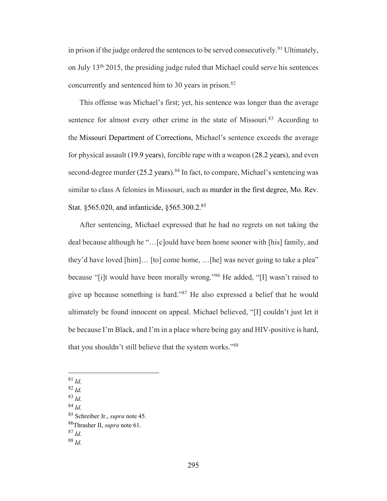in prison if the judge ordered the sentences to be served consecutively.<sup>81</sup> Ultimately, on July 13th 2015, the presiding judge ruled that Michael could serve his sentences concurrently and sentenced him to 30 years in prison.<sup>82</sup>

This offense was Michael's first; yet, his sentence was longer than the average sentence for almost every other crime in the state of Missouri.<sup>83</sup> According to the Missouri Department of Corrections, Michael's sentence exceeds the average for physical assault (19.9 years), forcible rape with a weapon (28.2 years), and even second-degree murder  $(25.2 \text{ years})$ .<sup>84</sup> In fact, to compare, Michael's sentencing was similar to class A felonies in Missouri, such as murder in the first degree, Mo. Rev. Stat. §565.020, and infanticide, §565.300.2. 85

After sentencing, Michael expressed that he had no regrets on not taking the deal because although he "…[c]ould have been home sooner with [his] family, and they'd have loved [him]… [to] come home, …[he] was never going to take a plea" because "[i]t would have been morally wrong."86 He added, "[I] wasn't raised to give up because something is hard."87 He also expressed a belief that he would ultimately be found innocent on appeal. Michael believed, "[I] couldn't just let it be because I'm Black, and I'm in a place where being gay and HIV-positive is hard, that you shouldn't still believe that the system works."<sup>88</sup>

- <sup>81</sup> *Id*.
- <sup>82</sup> *Id*. <sup>83</sup> *Id*.
- <sup>84</sup> *Id*.

<sup>85</sup> Schreiber Jr., *supra* note 45.

<sup>86</sup>Thrasher II, *supra* note 61.

<sup>87</sup> *Id*.

<sup>88</sup> *Id*.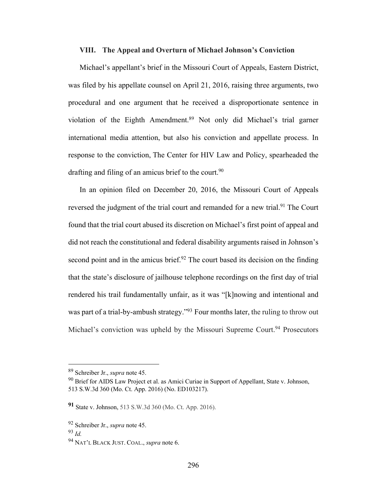#### **VIII. The Appeal and Overturn of Michael Johnson's Conviction**

Michael's appellant's brief in the Missouri Court of Appeals, Eastern District, was filed by his appellate counsel on April 21, 2016, raising three arguments, two procedural and one argument that he received a disproportionate sentence in violation of the Eighth Amendment.89 Not only did Michael's trial garner international media attention, but also his conviction and appellate process. In response to the conviction, The Center for HIV Law and Policy, spearheaded the drafting and filing of an amicus brief to the court.<sup>90</sup>

In an opinion filed on December 20, 2016, the Missouri Court of Appeals reversed the judgment of the trial court and remanded for a new trial.<sup>91</sup> The Court found that the trial court abused its discretion on Michael's first point of appeal and did not reach the constitutional and federal disability arguments raised in Johnson's second point and in the amicus brief.<sup>92</sup> The court based its decision on the finding that the state's disclosure of jailhouse telephone recordings on the first day of trial rendered his trail fundamentally unfair, as it was "[k]nowing and intentional and was part of a trial-by-ambush strategy."<sup>93</sup> Four months later, the ruling to throw out Michael's conviction was upheld by the Missouri Supreme Court.<sup>94</sup> Prosecutors

<sup>89</sup> Schreiber Jr., *supra* note 45.

<sup>&</sup>lt;sup>90</sup> Brief for AIDS Law Project et al. as Amici Curiae in Support of Appellant, State v. Johnson, 513 S.W.3d 360 (Mo. Ct. App. 2016) (No. ED103217).

**<sup>91</sup>** State v. Johnson, 513 S.W.3d 360 (Mo. Ct. App. 2016).

<sup>92</sup> Schreiber Jr., *supra* note 45.

<sup>93</sup> *Id.*

<sup>94</sup> NAT'L BLACK JUST. COAL., *supra* note 6.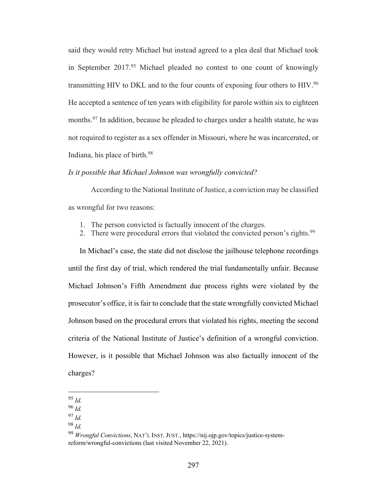said they would retry Michael but instead agreed to a plea deal that Michael took in September 2017.<sup>95</sup> Michael pleaded no contest to one count of knowingly transmitting HIV to DKL and to the four counts of exposing four others to HIV.96 He accepted a sentence of ten years with eligibility for parole within six to eighteen months.<sup>97</sup> In addition, because he pleaded to charges under a health statute, he was not required to register as a sex offender in Missouri, where he was incarcerated, or Indiana, his place of birth.98

#### *Is it possible that Michael Johnson was wrongfully convicted?*

According to the National Institute of Justice, a conviction may be classified as wrongful for two reasons:

- 1. The person convicted is factually innocent of the charges.
- 2. There were procedural errors that violated the convicted person's rights.<sup>99</sup>

In Michael's case, the state did not disclose the jailhouse telephone recordings until the first day of trial, which rendered the trial fundamentally unfair. Because Michael Johnson's Fifth Amendment due process rights were violated by the prosecutor's office, it is fair to conclude that the state wrongfully convicted Michael Johnson based on the procedural errors that violated his rights, meeting the second criteria of the National Institute of Justice's definition of a wrongful conviction. However, is it possible that Michael Johnson was also factually innocent of the charges?

<sup>95</sup> *Id.*

<sup>96</sup> *Id.*

<sup>97</sup> *Id.*

<sup>98</sup> *Id.*

<sup>99</sup> *Wrongful Convictions*, NAT'L INST. JUST., https://nij.ojp.gov/topics/justice-systemreform/wrongful-convictions (last visited November 22, 2021).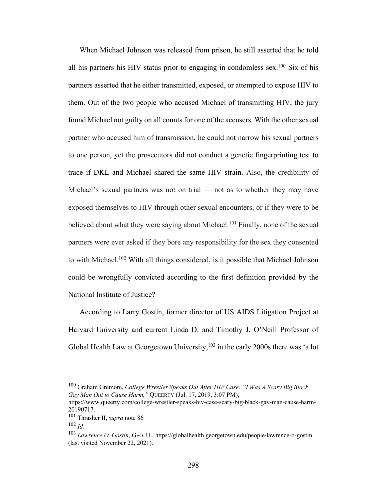When Michael Johnson was released from prison, he still asserted that he told all his partners his HIV status prior to engaging in condomless sex.<sup>100</sup> Six of his partners asserted that he either transmitted, exposed, or attempted to expose HIV to them. Out of the two people who accused Michael of transmitting HIV, the jury found Michael not guilty on all counts for one of the accusers. With the other sexual partner who accused him of transmission, he could not narrow his sexual partners to one person, yet the prosecutors did not conduct a genetic fingerprinting test to trace if DKL and Michael shared the same HIV strain. Also, the credibility of Michael's sexual partners was not on trial — not as to whether they may have exposed themselves to HIV through other sexual encounters, or if they were to be believed about what they were saying about Michael.<sup>101</sup> Finally, none of the sexual partners were ever asked if they bore any responsibility for the sex they consented to with Michael.<sup>102</sup> With all things considered, is it possible that Michael Johnson could be wrongfully convicted according to the first definition provided by the National Institute of Justice?

According to Larry Gostin, former director of US AIDS Litigation Project at Harvard University and current Linda D. and Timothy J. O'Neill Professor of Global Health Law at Georgetown University,<sup>103</sup> in the early 2000s there was 'a lot

<sup>100</sup> Graham Gremore, *College Wrestler Speaks Out After HIV Case: "I Was A Scary Big Black Gay Man Out to Cause Harm,"* QUEERTY (Jul. 17, 2019, 3:07 PM),

https://www.queerty.com/college-wrestler-speaks-hiv-case-scary-big-black-gay-man-cause-harm-20190717.

<sup>101</sup> Thrasher II, *supra* note 86

<sup>102</sup> *Id.*

<sup>103</sup> *Lawrence O. Gostin*, GEO. U., https://globalhealth.georgetown.edu/people/lawrence-o-gostin (last visited November 22, 2021).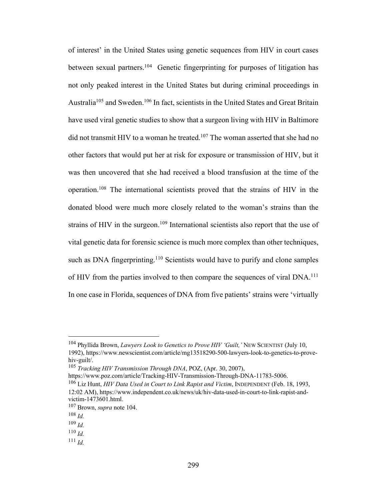of interest' in the United States using genetic sequences from HIV in court cases between sexual partners.<sup>104</sup> Genetic fingerprinting for purposes of litigation has not only peaked interest in the United States but during criminal proceedings in Australia<sup>105</sup> and Sweden.<sup>106</sup> In fact, scientists in the United States and Great Britain have used viral genetic studies to show that a surgeon living with HIV in Baltimore did not transmit HIV to a woman he treated.<sup>107</sup> The woman asserted that she had no other factors that would put her at risk for exposure or transmission of HIV, but it was then uncovered that she had received a blood transfusion at the time of the operation.108 The international scientists proved that the strains of HIV in the donated blood were much more closely related to the woman's strains than the strains of HIV in the surgeon.<sup>109</sup> International scientists also report that the use of vital genetic data for forensic science is much more complex than other techniques, such as DNA fingerprinting.<sup>110</sup> Scientists would have to purify and clone samples of HIV from the parties involved to then compare the sequences of viral DNA.<sup>111</sup> In one case in Florida, sequences of DNA from five patients' strains were 'virtually

<sup>104</sup> Phyllida Brown, *Lawyers Look to Genetics to Prove HIV 'Guilt,'* NEW SCIENTIST (July 10, 1992), https://www.newscientist.com/article/mg13518290-500-lawyers-look-to-genetics-to-provehiv-guilt/.

<sup>105</sup> *Tracking HIV Transmission Through DNA*, POZ, (Apr. 30, 2007),

https://www.poz.com/article/Tracking-HIV-Transmission-Through-DNA-11783-5006. <sup>106</sup> Liz Hunt, *HIV Data Used in Court to Link Rapist and Victim*, INDEPENDENT (Feb. 18, 1993,

<sup>12:02</sup> AM), https://www.independent.co.uk/news/uk/hiv-data-used-in-court-to-link-rapist-andvictim-1473601.html.

<sup>107</sup> Brown, *supra* note 104.

<sup>108</sup> *Id.*

<sup>109</sup> *Id.*

<sup>110</sup> *Id.*

 $^{111}$  *Id*.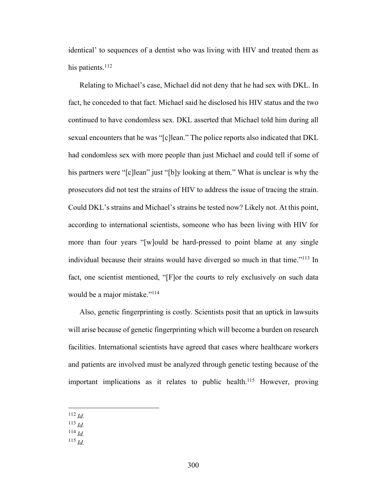identical' to sequences of a dentist who was living with HIV and treated them as his patients.<sup>112</sup>

Relating to Michael's case, Michael did not deny that he had sex with DKL. In fact, he conceded to that fact. Michael said he disclosed his HIV status and the two continued to have condomless sex. DKL asserted that Michael told him during all sexual encounters that he was "[c]lean." The police reports also indicated that DKL had condomless sex with more people than just Michael and could tell if some of his partners were "[c]lean" just "[b]y looking at them." What is unclear is why the prosecutors did not test the strains of HIV to address the issue of tracing the strain. Could DKL's strains and Michael's strains be tested now? Likely not. At this point, according to international scientists, someone who has been living with HIV for more than four years "[w]ould be hard-pressed to point blame at any single individual because their strains would have diverged so much in that time."<sup>113</sup> In fact, one scientist mentioned, "[F]or the courts to rely exclusively on such data would be a major mistake."<sup>114</sup>

Also, genetic fingerprinting is costly. Scientists posit that an uptick in lawsuits will arise because of genetic fingerprinting which will become a burden on research facilities. International scientists have agreed that cases where healthcare workers and patients are involved must be analyzed through genetic testing because of the important implications as it relates to public health.<sup>115</sup> However, proving

- <sup>112</sup> *Id.*
- <sup>113</sup> *Id.*
- <sup>114</sup> *Id.*
- <sup>115</sup> *Id.*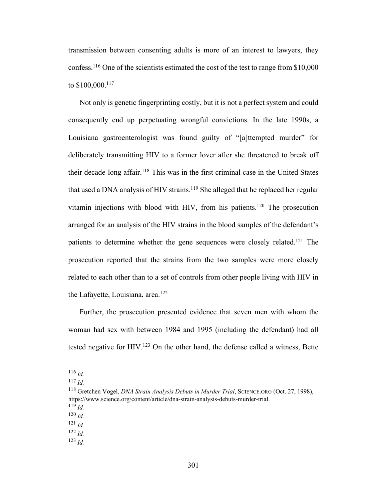transmission between consenting adults is more of an interest to lawyers, they confess.116 One of the scientists estimated the cost of the test to range from \$10,000 to \$100,000.117

Not only is genetic fingerprinting costly, but it is not a perfect system and could consequently end up perpetuating wrongful convictions. In the late 1990s, a Louisiana gastroenterologist was found guilty of "[a]ttempted murder" for deliberately transmitting HIV to a former lover after she threatened to break off their decade-long affair.118 This was in the first criminal case in the United States that used a DNA analysis of HIV strains.<sup>119</sup> She alleged that he replaced her regular vitamin injections with blood with HIV, from his patients.120 The prosecution arranged for an analysis of the HIV strains in the blood samples of the defendant's patients to determine whether the gene sequences were closely related.<sup>121</sup> The prosecution reported that the strains from the two samples were more closely related to each other than to a set of controls from other people living with HIV in the Lafayette, Louisiana, area.<sup>122</sup>

Further, the prosecution presented evidence that seven men with whom the woman had sex with between 1984 and 1995 (including the defendant) had all tested negative for  $HIV.<sup>123</sup>$  On the other hand, the defense called a witness, Bette

<sup>116</sup> *Id.*

<sup>117</sup> *Id.*

<sup>118</sup> Gretchen Vogel, *DNA Strain Analysis Debuts in Murder Trial*, SCIENCE.ORG (Oct. 27, 1998), https://www.science.org/content/article/dna-strain-analysis-debuts-murder-trial.

<sup>119</sup> *Id.*

<sup>120</sup> *Id.*

<sup>121</sup> *Id.*

<sup>122</sup> *Id.*

<sup>123</sup> *Id.*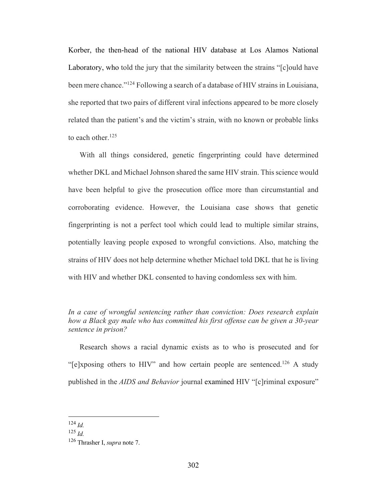Korber, the then-head of the national HIV database at Los Alamos National Laboratory, who told the jury that the similarity between the strains "[c]ould have been mere chance."124 Following a search of a database of HIV strains in Louisiana, she reported that two pairs of different viral infections appeared to be more closely related than the patient's and the victim's strain, with no known or probable links to each other.<sup>125</sup>

With all things considered, genetic fingerprinting could have determined whether DKL and Michael Johnson shared the same HIV strain. This science would have been helpful to give the prosecution office more than circumstantial and corroborating evidence. However, the Louisiana case shows that genetic fingerprinting is not a perfect tool which could lead to multiple similar strains, potentially leaving people exposed to wrongful convictions. Also, matching the strains of HIV does not help determine whether Michael told DKL that he is living with HIV and whether DKL consented to having condomless sex with him.

Research shows a racial dynamic exists as to who is prosecuted and for "[e]xposing others to HIV" and how certain people are sentenced.<sup>126</sup> A study published in the *AIDS and Behavior* journal examined HIV "[c]riminal exposure"

*In a case of wrongful sentencing rather than conviction: Does research explain how a Black gay male who has committed his first offense can be given a 30-year sentence in prison?*

<sup>124</sup> *Id.*

<sup>125</sup> *Id.*

<sup>126</sup> Thrasher I, *supra* note 7.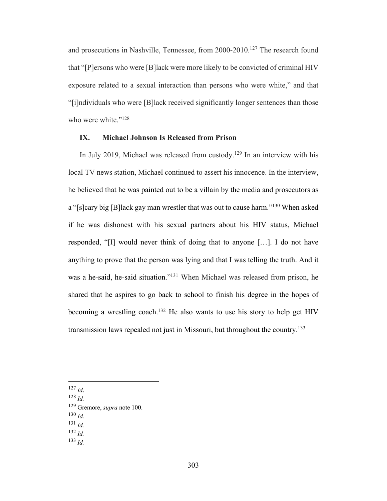and prosecutions in Nashville, Tennessee, from 2000-2010.127 The research found that "[P]ersons who were [B]lack were more likely to be convicted of criminal HIV exposure related to a sexual interaction than persons who were white," and that "[i]ndividuals who were [B]lack received significantly longer sentences than those who were white."<sup>128</sup>

## **IX. Michael Johnson Is Released from Prison**

In July 2019, Michael was released from custody.129 In an interview with his local TV news station, Michael continued to assert his innocence. In the interview, he believed that he was painted out to be a villain by the media and prosecutors as a "[s]cary big [B]lack gay man wrestler that was out to cause harm."130 When asked if he was dishonest with his sexual partners about his HIV status, Michael responded, "[I] would never think of doing that to anyone […]. I do not have anything to prove that the person was lying and that I was telling the truth. And it was a he-said, he-said situation."131 When Michael was released from prison, he shared that he aspires to go back to school to finish his degree in the hopes of becoming a wrestling coach.<sup>132</sup> He also wants to use his story to help get HIV transmission laws repealed not just in Missouri, but throughout the country.<sup>133</sup>

- 
- <sup>127</sup> *Id*. 128 *Id.*

- <sup>130</sup> *Id.*
- <sup>131</sup> *Id.*
- <sup>132</sup> *Id.*
- <sup>133</sup> *Id.*

<sup>129</sup> Gremore, *supra* note 100.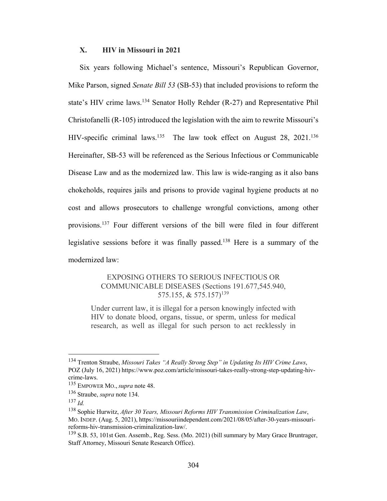#### **X. HIV in Missouri in 2021**

Six years following Michael's sentence, Missouri's Republican Governor, Mike Parson, signed *Senate Bill 53* (SB-53) that included provisions to reform the state's HIV crime laws.<sup>134</sup> Senator Holly Rehder (R-27) and Representative Phil Christofanelli (R-105) introduced the legislation with the aim to rewrite Missouri's HIV-specific criminal laws.<sup>135</sup> The law took effect on August 28, 2021.<sup>136</sup> Hereinafter, SB-53 will be referenced as the Serious Infectious or Communicable Disease Law and as the modernized law. This law is wide-ranging as it also bans chokeholds, requires jails and prisons to provide vaginal hygiene products at no cost and allows prosecutors to challenge wrongful convictions, among other provisions.137 Four different versions of the bill were filed in four different legislative sessions before it was finally passed.138 Here is a summary of the modernized law:

> EXPOSING OTHERS TO SERIOUS INFECTIOUS OR COMMUNICABLE DISEASES (Sections 191.677,545.940, 575.155, & 575.157)139

Under current law, it is illegal for a person knowingly infected with HIV to donate blood, organs, tissue, or sperm, unless for medical research, as well as illegal for such person to act recklessly in

<sup>134</sup> Trenton Straube, *Missouri Takes "A Really Strong Step" in Updating Its HIV Crime Laws*, POZ (July 16, 2021) https://www.poz.com/article/missouri-takes-really-strong-step-updating-hivcrime-laws.

<sup>135</sup> EMPOWER MO., *supra* note 48.

<sup>136</sup> Straube, *supra* note 134.

<sup>137</sup> *Id.*

<sup>138</sup> Sophie Hurwitz, *After 30 Years, Missouri Reforms HIV Transmission Criminalization Law*, MO. INDEP. (Aug. 5, 2021), https://missouriindependent.com/2021/08/05/after-30-years-missourireforms-hiv-transmission-criminalization-law/.

<sup>&</sup>lt;sup>139</sup> S.B. 53, 101st Gen. Assemb., Reg. Sess. (Mo. 2021) (bill summary by Mary Grace Bruntrager, Staff Attorney, Missouri Senate Research Office).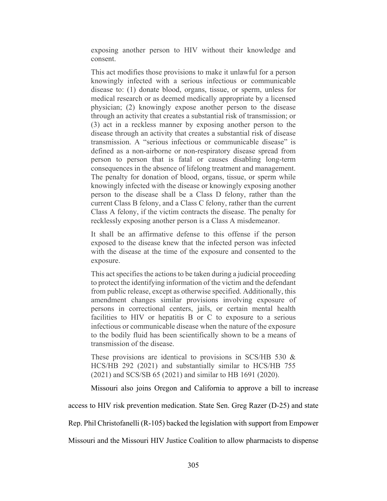exposing another person to HIV without their knowledge and consent.

This act modifies those provisions to make it unlawful for a person knowingly infected with a serious infectious or communicable disease to: (1) donate blood, organs, tissue, or sperm, unless for medical research or as deemed medically appropriate by a licensed physician; (2) knowingly expose another person to the disease through an activity that creates a substantial risk of transmission; or (3) act in a reckless manner by exposing another person to the disease through an activity that creates a substantial risk of disease transmission. A "serious infectious or communicable disease" is defined as a non-airborne or non-respiratory disease spread from person to person that is fatal or causes disabling long-term consequences in the absence of lifelong treatment and management. The penalty for donation of blood, organs, tissue, or sperm while knowingly infected with the disease or knowingly exposing another person to the disease shall be a Class D felony, rather than the current Class B felony, and a Class C felony, rather than the current Class A felony, if the victim contracts the disease. The penalty for recklessly exposing another person is a Class A misdemeanor.

It shall be an affirmative defense to this offense if the person exposed to the disease knew that the infected person was infected with the disease at the time of the exposure and consented to the exposure.

This act specifies the actions to be taken during a judicial proceeding to protect the identifying information of the victim and the defendant from public release, except as otherwise specified. Additionally, this amendment changes similar provisions involving exposure of persons in correctional centers, jails, or certain mental health facilities to HIV or hepatitis B or C to exposure to a serious infectious or communicable disease when the nature of the exposure to the bodily fluid has been scientifically shown to be a means of transmission of the disease.

These provisions are identical to provisions in SCS/HB 530 & HCS/HB 292 (2021) and substantially similar to HCS/HB 755 (2021) and SCS/SB 65 (2021) and similar to HB 1691 (2020).

Missouri also joins Oregon and California to approve a bill to increase

access to HIV risk prevention medication. State Sen. Greg Razer (D-25) and state

Rep. Phil Christofanelli (R-105) backed the legislation with support from Empower

Missouri and the Missouri HIV Justice Coalition to allow pharmacists to dispense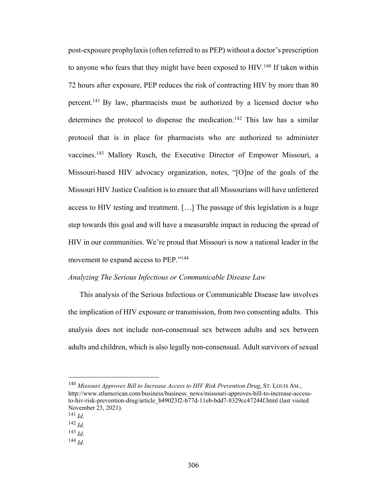post-exposure prophylaxis (often referred to as PEP) without a doctor's prescription to anyone who fears that they might have been exposed to  $HIV.<sup>140</sup>$  If taken within 72 hours after exposure, PEP reduces the risk of contracting HIV by more than 80 percent.141 By law, pharmacists must be authorized by a licensed doctor who determines the protocol to dispense the medication.<sup>142</sup> This law has a similar protocol that is in place for pharmacists who are authorized to administer vaccines.143 Mallory Rusch, the Executive Director of Empower Missouri, a Missouri-based HIV advocacy organization, notes, "[O]ne of the goals of the Missouri HIV Justice Coalition is to ensure that all Missourians will have unfettered access to HIV testing and treatment. […] The passage of this legislation is a huge step towards this goal and will have a measurable impact in reducing the spread of HIV in our communities. We're proud that Missouri is now a national leader in the movement to expand access to PEP."<sup>144</sup>

#### *Analyzing The Serious Infectious or Communicable Disease Law*

This analysis of the Serious Infectious or Communicable Disease law involves the implication of HIV exposure or transmission, from two consenting adults. This analysis does not include non-consensual sex between adults and sex between adults and children, which is also legally non-consensual. Adult survivors of sexual

<sup>140</sup> *Missouri Approves Bill to Increase Access to HIV Risk Prevention Drug*, ST. LOUIS AM., http://www.stlamerican.com/business/business\_news/missouri-approves-bill-to-increase-accessto-hiv-risk-prevention-drug/article\_b49023f2-b77d-11eb-bdd7-8329cc47244f.html (last visited November 23, 2021).

<sup>141</sup> *Id.*

<sup>142</sup> *Id.*

<sup>143</sup> *Id.*

<sup>144</sup> *Id.*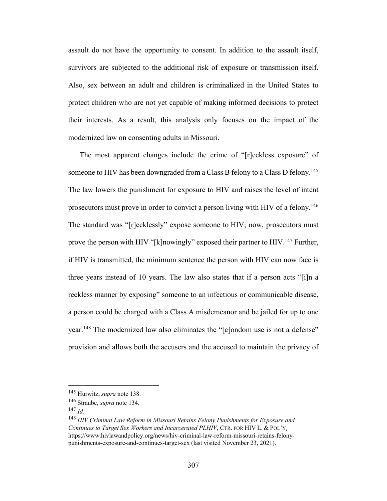assault do not have the opportunity to consent. In addition to the assault itself, survivors are subjected to the additional risk of exposure or transmission itself. Also, sex between an adult and children is criminalized in the United States to protect children who are not yet capable of making informed decisions to protect their interests. As a result, this analysis only focuses on the impact of the modernized law on consenting adults in Missouri.

The most apparent changes include the crime of "[r]eckless exposure" of someone to HIV has been downgraded from a Class B felony to a Class D felony.<sup>145</sup> The law lowers the punishment for exposure to HIV and raises the level of intent prosecutors must prove in order to convict a person living with HIV of a felony.<sup>146</sup> The standard was "[r]ecklessly" expose someone to HIV; now, prosecutors must prove the person with HIV "[k]nowingly" exposed their partner to HIV.<sup>147</sup> Further, if HIV is transmitted, the minimum sentence the person with HIV can now face is three years instead of 10 years. The law also states that if a person acts "[i]n a reckless manner by exposing" someone to an infectious or communicable disease, a person could be charged with a Class A misdemeanor and be jailed for up to one year.<sup>148</sup> The modernized law also eliminates the "[c]ondom use is not a defense" provision and allows both the accusers and the accused to maintain the privacy of

<sup>145</sup> Hurwitz, *supra* note 138.

<sup>146</sup> Straube, *supra* note 134.

<sup>147</sup> *Id.*

<sup>148</sup> *HIV Criminal Law Reform in Missouri Retains Felony Punishments for Exposure and Continues to Target Sex Workers and Incarcerated PLHIV*, CTR. FOR HIV L. & POL'Y, https://www.hivlawandpolicy.org/news/hiv-criminal-law-reform-missouri-retains-felonypunishments-exposure-and-continues-target-sex (last visited November 23, 2021).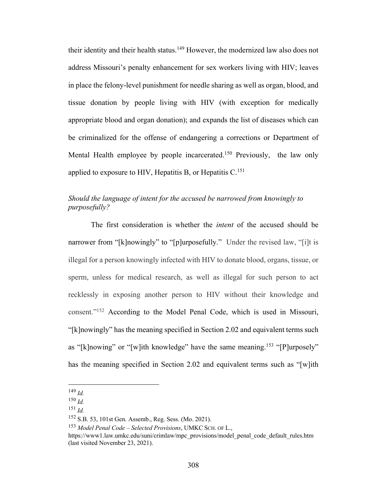their identity and their health status.<sup>149</sup> However, the modernized law also does not address Missouri's penalty enhancement for sex workers living with HIV; leaves in place the felony-level punishment for needle sharing as well as organ, blood, and tissue donation by people living with HIV (with exception for medically appropriate blood and organ donation); and expands the list of diseases which can be criminalized for the offense of endangering a corrections or Department of Mental Health employee by people incarcerated.<sup>150</sup> Previously, the law only applied to exposure to HIV, Hepatitis B, or Hepatitis  $C^{151}$ 

## *Should the language of intent for the accused be narrowed from knowingly to purposefully?*

The first consideration is whether the *intent* of the accused should be narrower from "[k]nowingly" to "[p]urposefully." Under the revised law, "[i]t is illegal for a person knowingly infected with HIV to donate blood, organs, tissue, or sperm, unless for medical research, as well as illegal for such person to act recklessly in exposing another person to HIV without their knowledge and consent."152 According to the Model Penal Code, which is used in Missouri, "[k]nowingly" has the meaning specified in Section 2.02 and equivalent terms such as "[k]nowing" or "[w]ith knowledge" have the same meaning.<sup>153</sup> "[P]urposely" has the meaning specified in Section 2.02 and equivalent terms such as "[w]ith

<sup>153</sup> *Model Penal Code – Selected Provisions*, UMKC SCH. OF L.,

 $^{149}$  *Id.* 

<sup>150</sup> *Id.*

<sup>151</sup> *Id.*

<sup>152</sup> S.B. 53, 101st Gen. Assemb., Reg. Sess. (Mo. 2021).

https://www1.law.umkc.edu/suni/crimlaw/mpc\_provisions/model\_penal\_code\_default\_rules.htm (last visited November 23, 2021).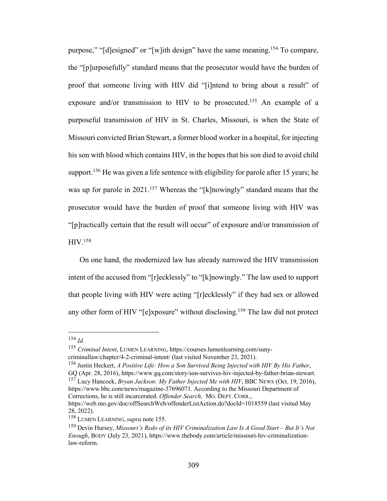purpose," "[d]esigned" or "[w]ith design" have the same meaning.154 To compare, the "[p]urposefully" standard means that the prosecutor would have the burden of proof that someone living with HIV did "[i]ntend to bring about a result" of exposure and/or transmission to HIV to be prosecuted.<sup>155</sup> An example of a purposeful transmission of HIV in St. Charles, Missouri, is when the State of Missouri convicted Brian Stewart, a former blood worker in a hospital, for injecting his son with blood which contains HIV, in the hopes that his son died to avoid child support.<sup>156</sup> He was given a life sentence with eligibility for parole after 15 years; he was up for parole in 2021.<sup>157</sup> Whereas the "[k]nowingly" standard means that the prosecutor would have the burden of proof that someone living with HIV was "[p]ractically certain that the result will occur" of exposure and/or transmission of HIV.158

On one hand, the modernized law has already narrowed the HIV transmission intent of the accused from "[r]ecklessly" to "[k]nowingly." The law used to support that people living with HIV were acting "[r]ecklessly" if they had sex or allowed any other form of HIV "[e]xposure" without disclosing.<sup>159</sup> The law did not protect

<sup>156</sup> Justin Heckert, *A Positive Life: How a Son Survived Being Injected with HIV By His Father*, GQ (Apr. 28, 2016), https://www.gq.com/story/son-survives-hiv-injected-by-father-brian-stewart.

<sup>154</sup> *Id.*

<sup>155</sup> *Criminal Intent*, LUMEN LEARNING, https://courses.lumenlearning.com/sunycriminallaw/chapter/4-2-criminal-intent/ (last visited November 23, 2021).

<sup>157</sup> Lucy Hancock, *Bryan Jackson: My Father Injected Me with HIV*, BBC NEWS (Oct. 19, 2016), https://www.bbc.com/news/magazine-37696071. According to the Missouri Department of Corrections, he is still incarcerated. *Offender Search,* MO. DEPT. CORR.,

https://web.mo.gov/doc/offSearchWeb/offenderListAction.do?docId=1018559 (last visited May 28, 2022).

<sup>158</sup> LUMEN LEARNING, *supra* note 155.

<sup>159</sup> Devin Hursey, *Missouri's Redo of its HIV Criminalization Law Is A Good Start – But It's Not Enough*, BODY (July 23, 2021), https://www.thebody.com/article/missouri-hiv-criminalizationlaw-reform.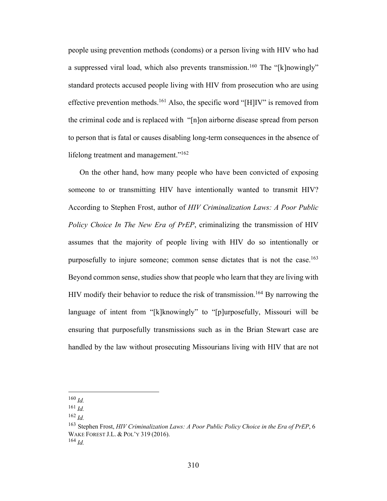people using prevention methods (condoms) or a person living with HIV who had a suppressed viral load, which also prevents transmission.<sup>160</sup> The "[k]nowingly" standard protects accused people living with HIV from prosecution who are using effective prevention methods.<sup>161</sup> Also, the specific word "[H]IV" is removed from the criminal code and is replaced with "[n]on airborne disease spread from person to person that is fatal or causes disabling long-term consequences in the absence of lifelong treatment and management."<sup>162</sup>

On the other hand, how many people who have been convicted of exposing someone to or transmitting HIV have intentionally wanted to transmit HIV? According to Stephen Frost, author of *HIV Criminalization Laws: A Poor Public Policy Choice In The New Era of PrEP*, criminalizing the transmission of HIV assumes that the majority of people living with HIV do so intentionally or purposefully to injure someone; common sense dictates that is not the case.<sup>163</sup> Beyond common sense, studies show that people who learn that they are living with HIV modify their behavior to reduce the risk of transmission.<sup>164</sup> By narrowing the language of intent from "[k]knowingly" to "[p]urposefully, Missouri will be ensuring that purposefully transmissions such as in the Brian Stewart case are handled by the law without prosecuting Missourians living with HIV that are not

<sup>160</sup> *Id.*

<sup>161</sup> *Id.*

<sup>162</sup> *Id.*

<sup>163</sup> Stephen Frost, *HIV Criminalization Laws: A Poor Public Policy Choice in the Era of PrEP*, 6 WAKE FOREST J.L. & POL'Y 319 (2016). <sup>164</sup> *Id.*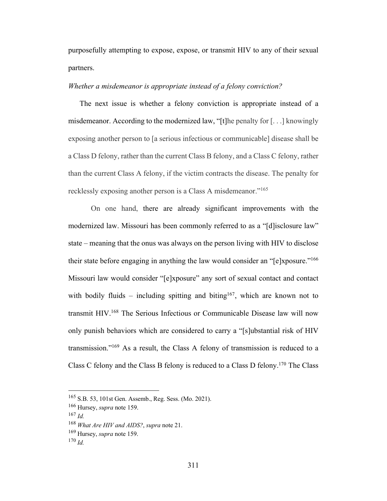purposefully attempting to expose, expose, or transmit HIV to any of their sexual partners.

#### *Whether a misdemeanor is appropriate instead of a felony conviction?*

The next issue is whether a felony conviction is appropriate instead of a misdemeanor. According to the modernized law, "[t]he penalty for  $[\ldots]$  knowingly exposing another person to [a serious infectious or communicable] disease shall be a Class D felony, rather than the current Class B felony, and a Class C felony, rather than the current Class A felony, if the victim contracts the disease. The penalty for recklessly exposing another person is a Class A misdemeanor."165

On one hand, there are already significant improvements with the modernized law. Missouri has been commonly referred to as a "[d]isclosure law" state – meaning that the onus was always on the person living with HIV to disclose their state before engaging in anything the law would consider an "[e]xposure."166 Missouri law would consider "[e]xposure" any sort of sexual contact and contact with bodily fluids – including spitting and biting<sup>167</sup>, which are known not to transmit HIV.168 The Serious Infectious or Communicable Disease law will now only punish behaviors which are considered to carry a "[s]ubstantial risk of HIV transmission."169 As a result, the Class A felony of transmission is reduced to a Class C felony and the Class B felony is reduced to a Class D felony.170 The Class

<sup>165</sup> S.B. 53, 101st Gen. Assemb., Reg. Sess. (Mo. 2021).

<sup>166</sup> Hursey, *supra* note 159.

<sup>167</sup> *Id.*

<sup>168</sup> *What Are HIV and AIDS?*, *supra* note 21.

<sup>169</sup> Hursey, *supra* note 159.

 $170$  *Id.*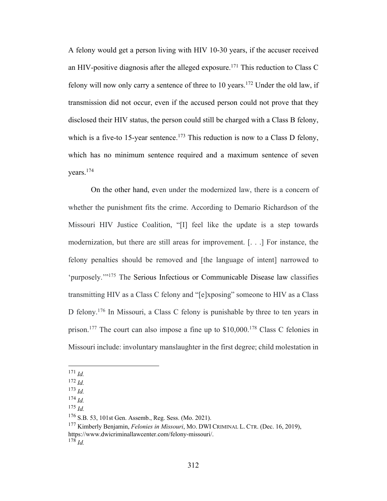A felony would get a person living with HIV 10-30 years, if the accuser received an HIV-positive diagnosis after the alleged exposure.<sup>171</sup> This reduction to Class C felony will now only carry a sentence of three to 10 years.<sup>172</sup> Under the old law, if transmission did not occur, even if the accused person could not prove that they disclosed their HIV status, the person could still be charged with a Class B felony, which is a five-to 15-year sentence.<sup>173</sup> This reduction is now to a Class D felony, which has no minimum sentence required and a maximum sentence of seven years.174

On the other hand, even under the modernized law, there is a concern of whether the punishment fits the crime. According to Demario Richardson of the Missouri HIV Justice Coalition, "[I] feel like the update is a step towards modernization, but there are still areas for improvement. [. . .] For instance, the felony penalties should be removed and [the language of intent] narrowed to 'purposely.'"175 The Serious Infectious or Communicable Disease law classifies transmitting HIV as a Class C felony and "[e]xposing" someone to HIV as a Class D felony.<sup>176</sup> In Missouri, a Class C felony is punishable by three to ten years in prison.177 The court can also impose a fine up to \$10,000.178 Class C felonies in Missouri include: involuntary manslaughter in the first degree; child molestation in

<sup>171</sup> *Id.*

 $^{175}$  *Id.* 

<sup>177</sup> Kimberly Benjamin, *Felonies in Missouri*, MO. DWI CRIMINAL L. CTR. (Dec. 16, 2019), https://www.dwicriminallawcenter.com/felony-missouri/. 178 *Id.*

<sup>172</sup> *Id.*

<sup>173</sup> *Id.*

<sup>174</sup> *Id.*

<sup>176</sup> S.B. 53, 101st Gen. Assemb., Reg. Sess. (Mo. 2021).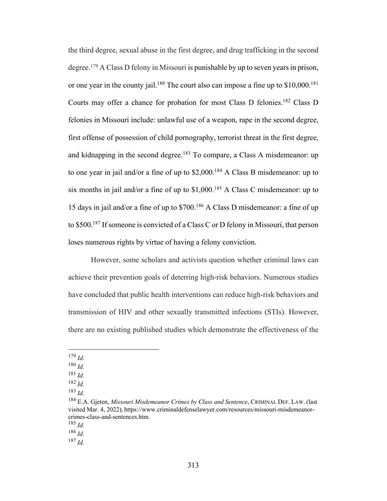the third degree, sexual abuse in the first degree, and drug trafficking in the second degree.179 A Class D felony in Missouri is punishable by up to seven years in prison, or one year in the county jail.<sup>180</sup> The court also can impose a fine up to  $$10,000$ <sup>181</sup> Courts may offer a chance for probation for most Class D felonies.182 Class D felonies in Missouri include: unlawful use of a weapon, rape in the second degree, first offense of possession of child pornography, terrorist threat in the first degree, and kidnapping in the second degree.<sup>183</sup> To compare, a Class A misdemeanor: up to one year in jail and/or a fine of up to  $$2,000$ .<sup>184</sup> A Class B misdemeanor: up to six months in jail and/or a fine of up to  $$1,000$ .<sup>185</sup> A Class C misdemeanor: up to 15 days in jail and/or a fine of up to \$700.186 A Class D misdemeanor: a fine of up to \$500.187 If someone is convicted of a Class C or D felony in Missouri, that person loses numerous rights by virtue of having a felony conviction.

However, some scholars and activists question whether criminal laws can achieve their prevention goals of deterring high-risk behaviors. Numerous studies have concluded that public health interventions can reduce high-risk behaviors and transmission of HIV and other sexually transmitted infections (STIs). However, there are no existing published studies which demonstrate the effectiveness of the

<sup>179</sup> *Id.*

<sup>180</sup> *Id.*

<sup>181</sup> *Id.*

<sup>182</sup> *Id.*

<sup>183</sup> *Id.*

<sup>184</sup> E.A. Gjeten, *Missouri Misdemeanor Crimes by Class and Sentence*, CRIMINAL DEF. LAW. (last visited Mar. 4, 2022), https://www.criminaldefenselawyer.com/resources/missouri-misdemeanorcrimes-class-and-sentences.htm.

<sup>185</sup> *Id.*

<sup>186</sup> *Id.* 

<sup>187</sup> *Id.*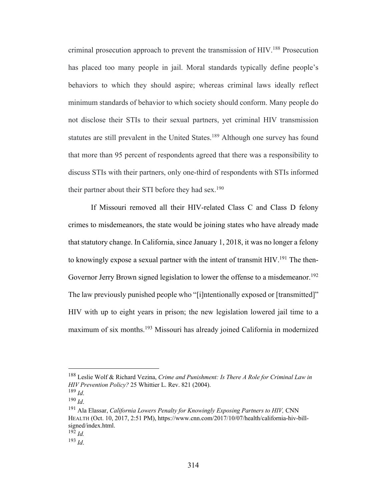criminal prosecution approach to prevent the transmission of HIV.188 Prosecution has placed too many people in jail. Moral standards typically define people's behaviors to which they should aspire; whereas criminal laws ideally reflect minimum standards of behavior to which society should conform. Many people do not disclose their STIs to their sexual partners, yet criminal HIV transmission statutes are still prevalent in the United States.<sup>189</sup> Although one survey has found that more than 95 percent of respondents agreed that there was a responsibility to discuss STIs with their partners, only one-third of respondents with STIs informed their partner about their STI before they had sex.<sup>190</sup>

If Missouri removed all their HIV-related Class C and Class D felony crimes to misdemeanors, the state would be joining states who have already made that statutory change. In California, since January 1, 2018, it was no longer a felony to knowingly expose a sexual partner with the intent of transmit HIV.<sup>191</sup> The then-Governor Jerry Brown signed legislation to lower the offense to a misdemeanor.<sup>192</sup> The law previously punished people who "[i]ntentionally exposed or [transmitted]" HIV with up to eight years in prison; the new legislation lowered jail time to a maximum of six months.193 Missouri has already joined California in modernized

<sup>188</sup> Leslie Wolf & Richard Vezina, *Crime and Punishment: Is There A Role for Criminal Law in HIV Prevention Policy?* 25 Whittier L. Rev. 821 (2004).

<sup>&</sup>lt;sup>189</sup> *Id.*<br><sup>190</sup> *Id.*<br><sup>191</sup> Ala Elassar, *California Lowers Penalty for Knowingly Exposing Partners to HIV, CNN* HEALTH (Oct. 10, 2017, 2:51 PM), https://www.cnn.com/2017/10/07/health/california-hiv-billsigned/index.html.  $^{192}$  *Id.* 

<sup>193</sup> *Id*.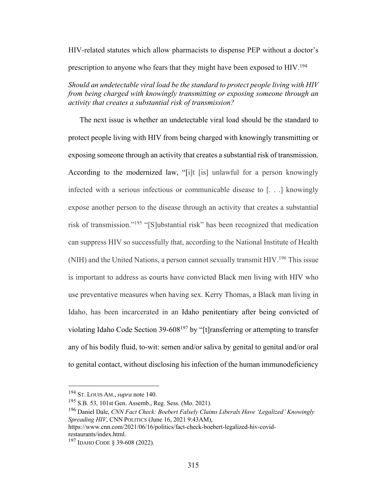HIV-related statutes which allow pharmacists to dispense PEP without a doctor's prescription to anyone who fears that they might have been exposed to HIV.<sup>194</sup>

*Should an undetectable viral load be the standard to protect people living with HIV from being charged with knowingly transmitting or exposing someone through an activity that creates a substantial risk of transmission?* 

The next issue is whether an undetectable viral load should be the standard to protect people living with HIV from being charged with knowingly transmitting or exposing someone through an activity that creates a substantial risk of transmission. According to the modernized law, "[i]t [is] unlawful for a person knowingly infected with a serious infectious or communicable disease to [. . .] knowingly expose another person to the disease through an activity that creates a substantial risk of transmission."195 "[S]ubstantial risk" has been recognized that medication can suppress HIV so successfully that, according to the National Institute of Health (NIH) and the United Nations, a person cannot sexually transmit HIV.196 This issue is important to address as courts have convicted Black men living with HIV who use preventative measures when having sex. Kerry Thomas, a Black man living in Idaho, has been incarcerated in an Idaho penitentiary after being convicted of violating Idaho Code Section 39-608<sup>197</sup> by "[t] ransferring or attempting to transfer any of his bodily fluid, to-wit: semen and/or saliva by genital to genital and/or oral to genital contact, without disclosing his infection of the human immunodeficiency

<sup>194</sup> ST. LOUIS AM., *supra* note 140.

<sup>195</sup> S.B. 53, 101st Gen. Assemb., Reg. Sess. (Mo. 2021).

<sup>196</sup> Daniel Dale, *CNN Fact Check: Boebert Falsely Claims Liberals Have 'Legalized' Knowingly Spreading HIV*, CNN POLITICS (June 16, 2021 9:43AM),

https://www.cnn.com/2021/06/16/politics/fact-check-boebert-legalized-hiv-covidrestaurants/index.html.

<sup>197</sup> IDAHO CODE § 39-608 (2022).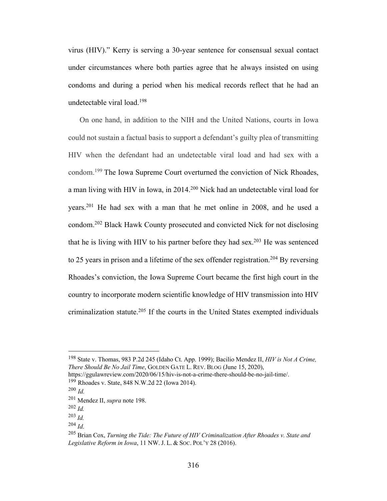virus (HIV)." Kerry is serving a 30-year sentence for consensual sexual contact under circumstances where both parties agree that he always insisted on using condoms and during a period when his medical records reflect that he had an undetectable viral load.198

On one hand, in addition to the NIH and the United Nations, courts in Iowa could not sustain a factual basis to support a defendant's guilty plea of transmitting HIV when the defendant had an undetectable viral load and had sex with a condom.199 The Iowa Supreme Court overturned the conviction of Nick Rhoades, a man living with HIV in Iowa, in 2014.200 Nick had an undetectable viral load for years.201 He had sex with a man that he met online in 2008, and he used a condom.202 Black Hawk County prosecuted and convicted Nick for not disclosing that he is living with HIV to his partner before they had sex.<sup>203</sup> He was sentenced to 25 years in prison and a lifetime of the sex offender registration.<sup>204</sup> By reversing Rhoades's conviction, the Iowa Supreme Court became the first high court in the country to incorporate modern scientific knowledge of HIV transmission into HIV criminalization statute.<sup>205</sup> If the courts in the United States exempted individuals

<sup>198</sup> State v. Thomas, 983 P.2d 245 (Idaho Ct. App. 1999); Bacilio Mendez II, *HIV is Not A Crime, There Should Be No Jail Time*, GOLDEN GATE L. REV. BLOG (June 15, 2020),

https://ggulawreview.com/2020/06/15/hiv-is-not-a-crime-there-should-be-no-jail-time/. <sup>199</sup> Rhoades v. State, 848 N.W.2d 22 (Iowa 2014).

<sup>200</sup> *Id.*

<sup>201</sup> Mendez II, *supra* note 198.

<sup>202</sup> *Id.*

<sup>203</sup> *Id.*

<sup>204</sup> *Id*. 205 Brian Cox, *Turning the Tide: The Future of HIV Criminalization After Rhoades v. State and Legislative Reform in Iowa*, 11 NW. J. L. & SOC. POL'Y 28 (2016).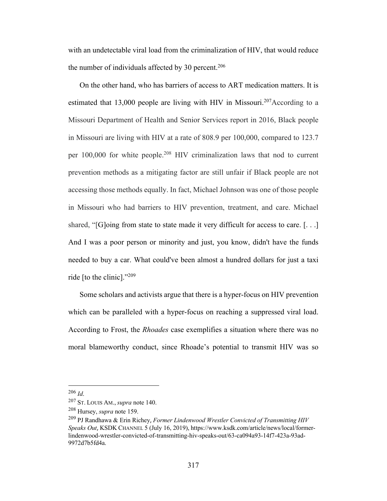with an undetectable viral load from the criminalization of HIV, that would reduce the number of individuals affected by 30 percent.<sup>206</sup>

On the other hand, who has barriers of access to ART medication matters. It is estimated that 13,000 people are living with HIV in Missouri.<sup>207</sup>According to a Missouri Department of Health and Senior Services report in 2016, Black people in Missouri are living with HIV at a rate of 808.9 per 100,000, compared to 123.7 per 100,000 for white people.208 HIV criminalization laws that nod to current prevention methods as a mitigating factor are still unfair if Black people are not accessing those methods equally. In fact, Michael Johnson was one of those people in Missouri who had barriers to HIV prevention, treatment, and care. Michael shared, " $[G]$ oing from state to state made it very difficult for access to care.  $[...]$ And I was a poor person or minority and just, you know, didn't have the funds needed to buy a car. What could've been almost a hundred dollars for just a taxi ride [to the clinic]."209

Some scholars and activists argue that there is a hyper-focus on HIV prevention which can be paralleled with a hyper-focus on reaching a suppressed viral load. According to Frost, the *Rhoades* case exemplifies a situation where there was no moral blameworthy conduct, since Rhoade's potential to transmit HIV was so

<sup>206</sup> *Id*. 207 ST. LOUIS AM., *supra* note 140.

<sup>208</sup> Hursey, *supra* note 159.

<sup>209</sup> PJ Randhawa & Erin Richey, *Former Lindenwood Wrestler Convicted of Transmitting HIV Speaks Out*, KSDK CHANNEL 5 (July 16, 2019), https://www.ksdk.com/article/news/local/formerlindenwood-wrestler-convicted-of-transmitting-hiv-speaks-out/63-ca094a93-14f7-423a-93ad-9972d7b5fd4a.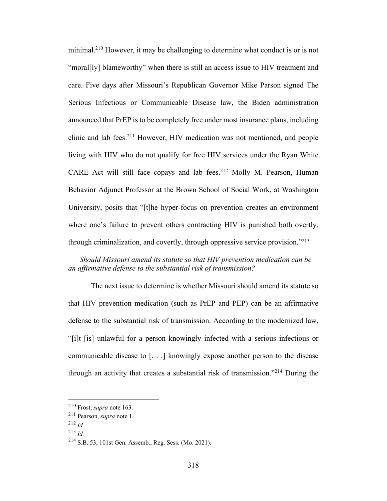minimal.210 However, it may be challenging to determine what conduct is or is not "moral[ly] blameworthy" when there is still an access issue to HIV treatment and care. Five days after Missouri's Republican Governor Mike Parson signed The Serious Infectious or Communicable Disease law, the Biden administration announced that PrEP is to be completely free under most insurance plans, including clinic and lab fees.211 However, HIV medication was not mentioned, and people living with HIV who do not qualify for free HIV services under the Ryan White CARE Act will still face copays and lab fees.<sup>212</sup> Molly M. Pearson, Human Behavior Adjunct Professor at the Brown School of Social Work, at Washington University, posits that "[t]he hyper-focus on prevention creates an environment where one's failure to prevent others contracting HIV is punished both overtly, through criminalization, and covertly, through oppressive service provision."213

## *Should Missouri amend its statute so that HIV prevention medication can be an affirmative defense to the substantial risk of transmission?*

The next issue to determine is whether Missouri should amend its statute so that HIV prevention medication (such as PrEP and PEP) can be an affirmative defense to the substantial risk of transmission. According to the modernized law, "[i]t [is] unlawful for a person knowingly infected with a serious infectious or communicable disease to [. . .] knowingly expose another person to the disease through an activity that creates a substantial risk of transmission."214 During the

<sup>210</sup> Frost, *supra* note 163.

<sup>211</sup> Pearson, *supra* note 1.

<sup>212</sup> *Id.*

<sup>213</sup> *Id.*

<sup>214</sup> S.B. 53, 101st Gen. Assemb., Reg. Sess. (Mo. 2021).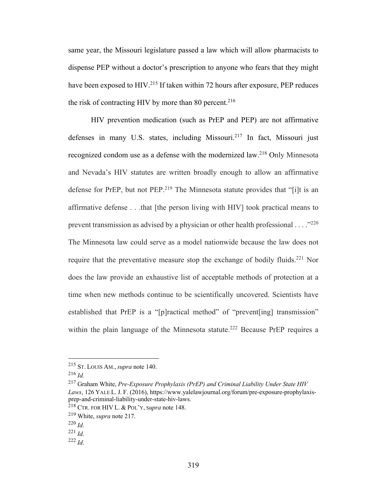same year, the Missouri legislature passed a law which will allow pharmacists to dispense PEP without a doctor's prescription to anyone who fears that they might have been exposed to HIV.<sup>215</sup> If taken within 72 hours after exposure, PEP reduces the risk of contracting HIV by more than 80 percent.<sup>216</sup>

HIV prevention medication (such as PrEP and PEP) are not affirmative defenses in many U.S. states, including Missouri.217 In fact, Missouri just recognized condom use as a defense with the modernized law. <sup>218</sup> Only Minnesota and Nevada's HIV statutes are written broadly enough to allow an affirmative defense for PrEP, but not PEP.<sup>219</sup> The Minnesota statute provides that "[i]t is an affirmative defense . . .that [the person living with HIV] took practical means to prevent transmission as advised by a physician or other health professional  $\ldots$ <sup>220</sup> The Minnesota law could serve as a model nationwide because the law does not require that the preventative measure stop the exchange of bodily fluids.<sup>221</sup> Nor does the law provide an exhaustive list of acceptable methods of protection at a time when new methods continue to be scientifically uncovered. Scientists have established that PrEP is a "[p]ractical method" of "prevent[ing] transmission" within the plain language of the Minnesota statute.<sup>222</sup> Because PrEP requires a

<sup>215</sup> ST. LOUIS AM., *supra* note 140.

<sup>216</sup> *Id.*

<sup>217</sup> Graham White, *Pre-Exposure Prophylaxis (PrEP) and Criminal Liability Under State HIV Laws*, 126 YALE L. J. F. (2016), https://www.yalelawjournal.org/forum/pre-exposure-prophylaxisprep-and-criminal-liability-under-state-hiv-laws.

<sup>218</sup> CTR. FOR HIV L. & POL'Y, <sup>S</sup>*upra* note 148.

<sup>219</sup> White, *supra* note 217.

<sup>220</sup> *Id*. 221 *Id*. 222 *Id*.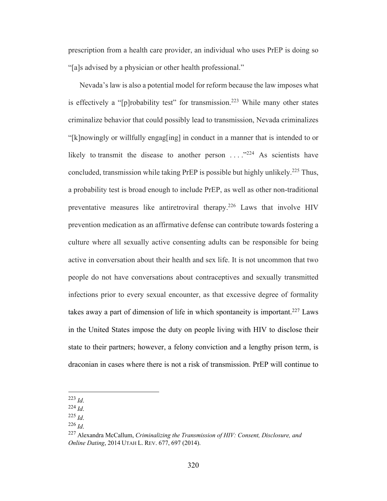prescription from a health care provider, an individual who uses PrEP is doing so "[a]s advised by a physician or other health professional."

Nevada's law is also a potential model for reform because the law imposes what is effectively a "[p]robability test" for transmission.<sup>223</sup> While many other states criminalize behavior that could possibly lead to transmission, Nevada criminalizes "[k]nowingly or willfully engag[ing] in conduct in a manner that is intended to or likely to transmit the disease to another person . . . ."224 As scientists have concluded, transmission while taking PrEP is possible but highly unlikely.225 Thus, a probability test is broad enough to include PrEP, as well as other non-traditional preventative measures like antiretroviral therapy.226 Laws that involve HIV prevention medication as an affirmative defense can contribute towards fostering a culture where all sexually active consenting adults can be responsible for being active in conversation about their health and sex life. It is not uncommon that two people do not have conversations about contraceptives and sexually transmitted infections prior to every sexual encounter, as that excessive degree of formality takes away a part of dimension of life in which spontaneity is important.<sup>227</sup> Laws in the United States impose the duty on people living with HIV to disclose their state to their partners; however, a felony conviction and a lengthy prison term, is draconian in cases where there is not a risk of transmission. PrEP will continue to

<sup>223</sup> *Id*. 224 *Id*. 225 *Id*. 226 *Id*. 227 Alexandra McCallum, *Criminalizing the Transmission of HIV: Consent, Disclosure, and Online Dating*, 2014 UTAH L. REV. 677, 697 (2014).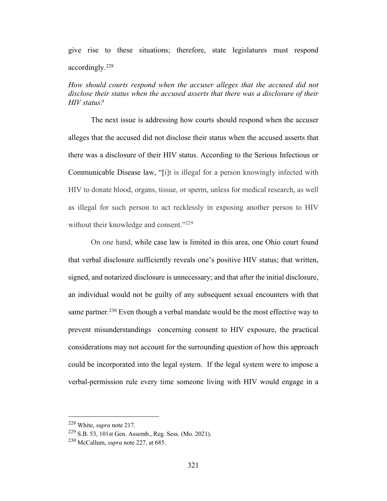# give rise to these situations; therefore, state legislatures must respond accordingly.228

*How should courts respond when the accuser alleges that the accused did not disclose their status when the accused asserts that there was a disclosure of their HIV status?*

The next issue is addressing how courts should respond when the accuser alleges that the accused did not disclose their status when the accused asserts that there was a disclosure of their HIV status. According to the Serious Infectious or Communicable Disease law, "[i]t is illegal for a person knowingly infected with HIV to donate blood, organs, tissue, or sperm, unless for medical research, as well as illegal for such person to act recklessly in exposing another person to HIV without their knowledge and consent."<sup>229</sup>

On one hand, while case law is limited in this area, one Ohio court found that verbal disclosure sufficiently reveals one's positive HIV status; that written, signed, and notarized disclosure is unnecessary; and that after the initial disclosure, an individual would not be guilty of any subsequent sexual encounters with that same partner.<sup>230</sup> Even though a verbal mandate would be the most effective way to prevent misunderstandings concerning consent to HIV exposure, the practical considerations may not account for the surrounding question of how this approach could be incorporated into the legal system. If the legal system were to impose a verbal-permission rule every time someone living with HIV would engage in a

<sup>228</sup> White, *supra* note 217.

<sup>229</sup> S.B. 53, 101st Gen. Assemb., Reg. Sess. (Mo. 2021).

<sup>230</sup> McCallum, *supra* note 227, at 685.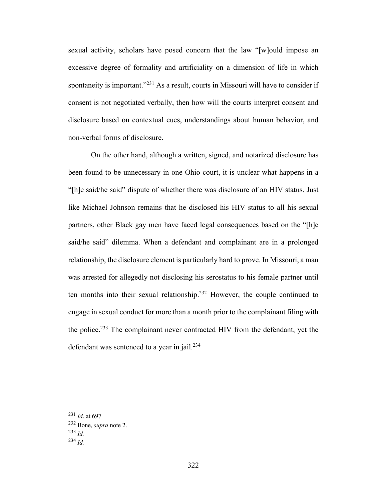sexual activity, scholars have posed concern that the law "[w]ould impose an excessive degree of formality and artificiality on a dimension of life in which spontaneity is important."<sup>231</sup> As a result, courts in Missouri will have to consider if consent is not negotiated verbally, then how will the courts interpret consent and disclosure based on contextual cues, understandings about human behavior, and non-verbal forms of disclosure.

On the other hand, although a written, signed, and notarized disclosure has been found to be unnecessary in one Ohio court, it is unclear what happens in a "[h]e said/he said" dispute of whether there was disclosure of an HIV status. Just like Michael Johnson remains that he disclosed his HIV status to all his sexual partners, other Black gay men have faced legal consequences based on the "[h]e said/he said" dilemma. When a defendant and complainant are in a prolonged relationship, the disclosure element is particularly hard to prove. In Missouri, a man was arrested for allegedly not disclosing his serostatus to his female partner until ten months into their sexual relationship.232 However, the couple continued to engage in sexual conduct for more than a month prior to the complainant filing with the police.233 The complainant never contracted HIV from the defendant, yet the defendant was sentenced to a year in jail.<sup>234</sup>

<sup>231</sup> *Id*. at 697

<sup>232</sup> Bone, *supra* note 2.

<sup>233</sup> *Id.*

<sup>234</sup> *Id.*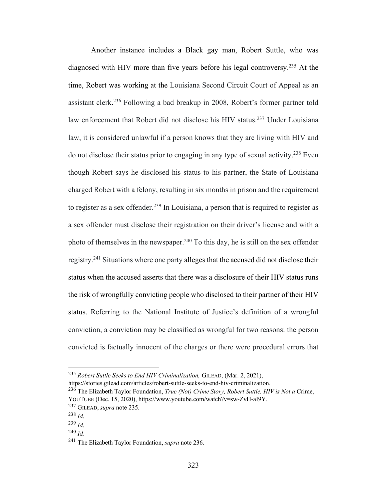Another instance includes a Black gay man, Robert Suttle, who was diagnosed with HIV more than five years before his legal controversy. <sup>235</sup> At the time, Robert was working at the Louisiana Second Circuit Court of Appeal as an assistant clerk.236 Following a bad breakup in 2008, Robert's former partner told law enforcement that Robert did not disclose his HIV status.<sup>237</sup> Under Louisiana law, it is considered unlawful if a person knows that they are living with HIV and do not disclose their status prior to engaging in any type of sexual activity.238 Even though Robert says he disclosed his status to his partner, the State of Louisiana charged Robert with a felony, resulting in six months in prison and the requirement to register as a sex offender.239 In Louisiana, a person that is required to register as a sex offender must disclose their registration on their driver's license and with a photo of themselves in the newspaper.<sup>240</sup> To this day, he is still on the sex offender registry.241 Situations where one party alleges that the accused did not disclose their status when the accused asserts that there was a disclosure of their HIV status runs the risk of wrongfully convicting people who disclosed to their partner of their HIV status. Referring to the National Institute of Justice's definition of a wrongful conviction, a conviction may be classified as wrongful for two reasons: the person convicted is factually innocent of the charges or there were procedural errors that

<sup>235</sup> *Robert Suttle Seeks to End HIV Criminalization,* GILEAD, (Mar. 2, 2021),

https://stories.gilead.com/articles/robert-suttle-seeks-to-end-hiv-criminalization.

<sup>236</sup> The Elizabeth Taylor Foundation, *True (Not) Crime Story, Robert Suttle, HIV is Not a* Crime, YOUTUBE (Dec. 15, 2020), https://www.youtube.com/watch?v=sw-ZvH-aI9Y. <sup>237</sup> GILEAD, *supra* note 235.

<sup>238</sup> *Id*. 239 *Id*. 240 *Id.* 

<sup>241</sup> The Elizabeth Taylor Foundation, *supra* note 236.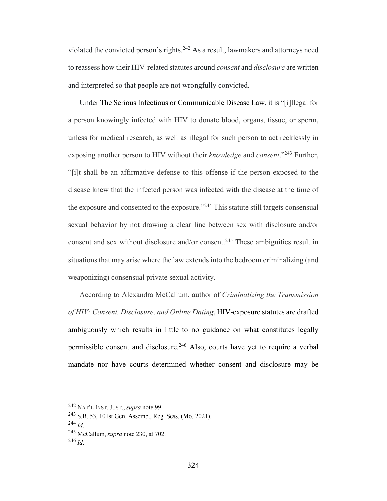violated the convicted person's rights.242 As a result, lawmakers and attorneys need to reassess how their HIV-related statutes around *consent* and *disclosure* are written and interpreted so that people are not wrongfully convicted.

Under The Serious Infectious or Communicable Disease Law, it is "[i]llegal for a person knowingly infected with HIV to donate blood, organs, tissue, or sperm, unless for medical research, as well as illegal for such person to act recklessly in exposing another person to HIV without their *knowledge* and *consent*."243 Further, "[i]t shall be an affirmative defense to this offense if the person exposed to the disease knew that the infected person was infected with the disease at the time of the exposure and consented to the exposure."244 This statute still targets consensual sexual behavior by not drawing a clear line between sex with disclosure and/or consent and sex without disclosure and/or consent.<sup>245</sup> These ambiguities result in situations that may arise where the law extends into the bedroom criminalizing (and weaponizing) consensual private sexual activity.

According to Alexandra McCallum, author of *Criminalizing the Transmission of HIV: Consent, Disclosure, and Online Dating*, HIV-exposure statutes are drafted ambiguously which results in little to no guidance on what constitutes legally permissible consent and disclosure.246 Also, courts have yet to require a verbal mandate nor have courts determined whether consent and disclosure may be

<sup>242</sup> NAT'L INST. JUST., *supra* note 99.

<sup>243</sup> S.B. 53, 101st Gen. Assemb., Reg. Sess. (Mo. 2021).

<sup>244</sup> *Id*. 245 McCallum, *supra* note 230, at 702.

<sup>246</sup> *Id*.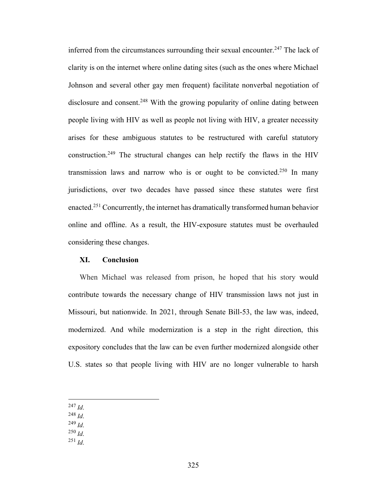inferred from the circumstances surrounding their sexual encounter.<sup>247</sup> The lack of clarity is on the internet where online dating sites (such as the ones where Michael Johnson and several other gay men frequent) facilitate nonverbal negotiation of disclosure and consent.<sup>248</sup> With the growing popularity of online dating between people living with HIV as well as people not living with HIV, a greater necessity arises for these ambiguous statutes to be restructured with careful statutory construction.249 The structural changes can help rectify the flaws in the HIV transmission laws and narrow who is or ought to be convicted.<sup>250</sup> In many jurisdictions, over two decades have passed since these statutes were first enacted.251 Concurrently, the internet has dramatically transformed human behavior online and offline. As a result, the HIV-exposure statutes must be overhauled considering these changes.

#### **XI. Conclusion**

When Michael was released from prison, he hoped that his story would contribute towards the necessary change of HIV transmission laws not just in Missouri, but nationwide. In 2021, through Senate Bill-53, the law was, indeed, modernized. And while modernization is a step in the right direction, this expository concludes that the law can be even further modernized alongside other U.S. states so that people living with HIV are no longer vulnerable to harsh

- <sup>247</sup> *Id*.
- <sup>248</sup> *Id*.
- <sup>249</sup> *Id*.
- <sup>250</sup> *Id*.
- <sup>251</sup> *Id*.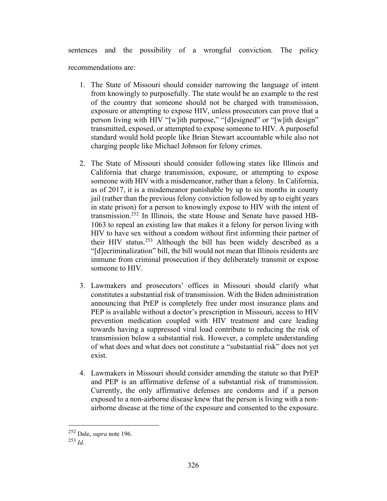sentences and the possibility of a wrongful conviction. The policy recommendations are:

- 1. The State of Missouri should consider narrowing the language of intent from knowingly to purposefully. The state would be an example to the rest of the country that someone should not be charged with transmission, exposure or attempting to expose HIV, unless prosecutors can prove that a person living with HIV "[w]ith purpose," "[d]esigned" or "[w]ith design" transmitted, exposed, or attempted to expose someone to HIV. A purposeful standard would hold people like Brian Stewart accountable while also not charging people like Michael Johnson for felony crimes.
- 2. The State of Missouri should consider following states like Illinois and California that charge transmission, exposure, or attempting to expose someone with HIV with a misdemeanor, rather than a felony. In California, as of 2017, it is a misdemeanor punishable by up to six months in county jail (rather than the previous felony conviction followed by up to eight years in state prison) for a person to knowingly expose to HIV with the intent of transmission.252 In Illinois, the state House and Senate have passed HB-1063 to repeal an existing law that makes it a felony for person living with HIV to have sex without a condom without first informing their partner of their HIV status.<sup>253</sup> Although the bill has been widely described as a "[d]ecriminalization" bill, the bill would not mean that Illinois residents are immune from criminal prosecution if they deliberately transmit or expose someone to HIV.
- 3. Lawmakers and prosecutors' offices in Missouri should clarify what constitutes a substantial risk of transmission. With the Biden administration announcing that PrEP is completely free under most insurance plans and PEP is available without a doctor's prescription in Missouri, access to HIV prevention medication coupled with HIV treatment and care leading towards having a suppressed viral load contribute to reducing the risk of transmission below a substantial risk. However, a complete understanding of what does and what does not constitute a "substantial risk" does not yet exist.
- 4. Lawmakers in Missouri should consider amending the statute so that PrEP and PEP is an affirmative defense of a substantial risk of transmission. Currently, the only affirmative defenses are condoms and if a person exposed to a non-airborne disease knew that the person is living with a nonairborne disease at the time of the exposure and consented to the exposure.

<sup>252</sup> Dale, *supra* note 196.

<sup>253</sup> *Id*.